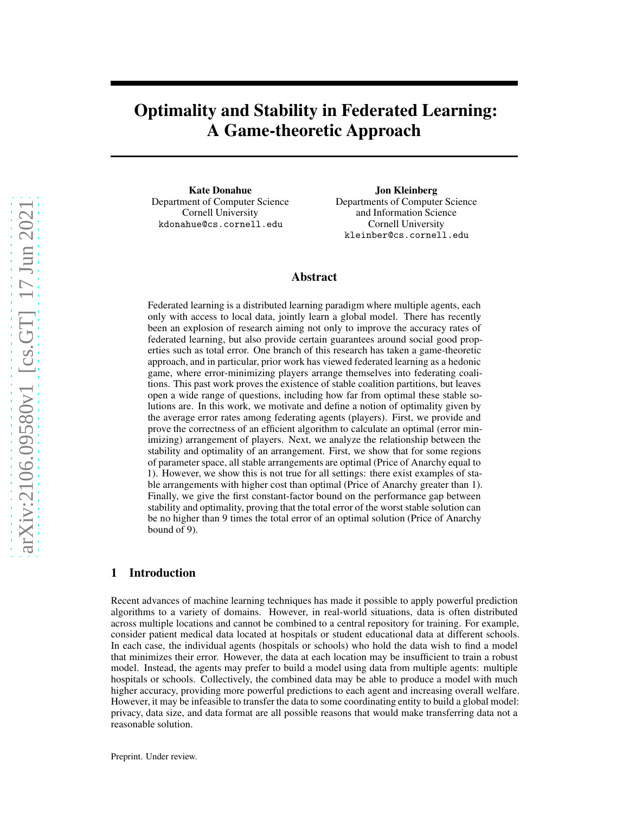# Optimality and Stability in Federated Learning: A Game-theoretic Approach

Kate Donahue Department of Computer Science Cornell University kdonahue@cs.cornell.edu

Jon Kleinberg Departments of Computer Science and Information Science Cornell University kleinber@cs.cornell.edu

### Abstract

Federated learning is a distributed learning paradigm where multiple agents, each only with access to local data, jointly learn a global model. There has recently been an explosion of research aiming not only to improve the accuracy rates of federated learning, but also provide certain guarantees around social good properties such as total error. One branch of this research has taken a game-theoretic approach, and in particular, prior work has viewed federated learning as a hedonic game, where error-minimizing players arrange themselves into federating coalitions. This past work proves the existence of stable coalition partitions, but leaves open a wide range of questions, including how far from optimal these stable solutions are. In this work, we motivate and define a notion of optimality given by the average error rates among federating agents (players). First, we provide and prove the correctness of an efficient algorithm to calculate an optimal (error minimizing) arrangement of players. Next, we analyze the relationship between the stability and optimality of an arrangement. First, we show that for some regions of parameter space, all stable arrangements are optimal (Price of Anarchy equal to 1). However, we show this is not true for all settings: there exist examples of stable arrangements with higher cost than optimal (Price of Anarchy greater than 1). Finally, we give the first constant-factor bound on the performance gap between stability and optimality, proving that the total error of the worst stable solution can be no higher than 9 times the total error of an optimal solution (Price of Anarchy bound of 9).

### 1 Introduction

Recent advances of machine learning techniques has made it possible to apply powerful prediction algorithms to a variety of domains. However, in real-world situations, data is often distributed across multiple locations and cannot be combined to a central repository for training. For example, consider patient medical data located at hospitals or student educational data at different schools. In each case, the individual agents (hospitals or schools) who hold the data wish to find a model that minimizes their error. However, the data at each location may be insufficient to train a robust model. Instead, the agents may prefer to build a model using data from multiple agents: multiple hospitals or schools. Collectively, the combined data may be able to produce a model with much higher accuracy, providing more powerful predictions to each agent and increasing overall welfare. However, it may be infeasible to transfer the data to some coordinating entity to build a global model: privacy, data size, and data format are all possible reasons that would make transferring data not a reasonable solution.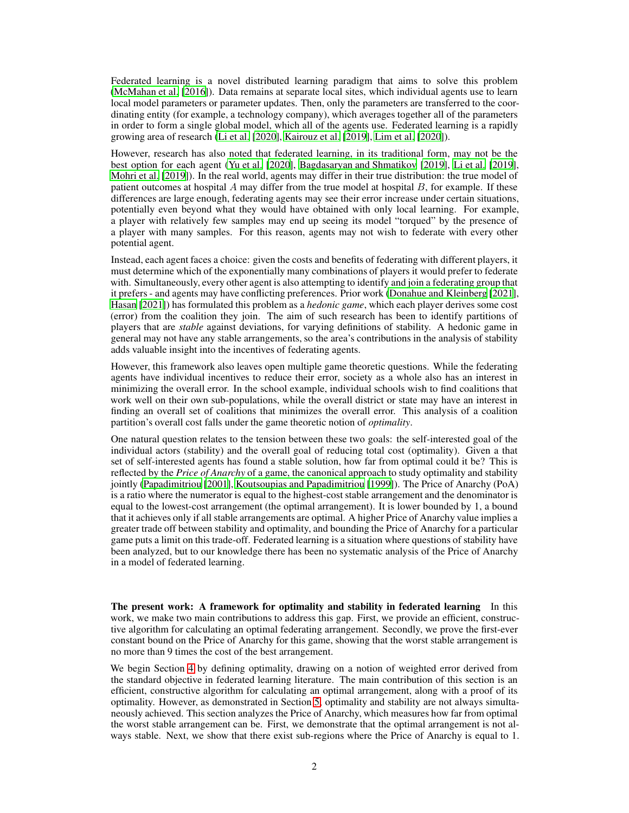Federated learning is a novel distributed learning paradigm that aims to solve this problem [\(McMahan et al. \[2016\]](#page-10-0)). Data remains at separate local sites, which individual agents use to learn local model parameters or parameter updates. Then, only the parameters are transferred to the coordinating entity (for example, a technology company), which averages together all of the parameters in order to form a single global model, which all of the agents use. Federated learning is a rapidly growing area of research [\(Li et al. \[2020\]](#page-10-1), [Kairouz et al.](#page-10-2) [\[2019\]](#page-10-2), [Lim et al. \[2020](#page-10-3)]).

However, research has also noted that federated learning, in its traditional form, may not be the best option for each agent [\(Yu et al. \[2020\]](#page-11-0), [Bagdasaryan and](#page-9-0) Shmatikov [\[2019\]](#page-9-0), [Li et al.](#page-10-4) [\[2019\]](#page-10-4), [Mohri et al.](#page-10-5) [\[2019\]](#page-10-5)). In the real world, agents may differ in their true distribution: the true model of patient outcomes at hospital  $A$  may differ from the true model at hospital  $B$ , for example. If these differences are large enough, federating agents may see their error increase under certain situations, potentially even beyond what they would have obtained with only local learning. For example, a player with relatively few samples may end up seeing its model "torqued" by the presence of a player with many samples. For this reason, agents may not wish to federate with every other potential agent.

Instead, each agent faces a choice: given the costs and benefits of federating with different players, it must determine which of the exponentially many combinations of players it would prefer to federate with. Simultaneously, every other agent is also attempting to identify and join a federating group that it prefers - and agents may have conflicting preferences. Prior work [\(Donahue and Kleinberg](#page-9-1) [\[2021\]](#page-9-1), [Hasan](#page-10-6) [\[2021\]](#page-10-6)) has formulated this problem as a *hedonic game*, which each player derives some cost (error) from the coalition they join. The aim of such research has been to identify partitions of players that are *stable* against deviations, for varying definitions of stability. A hedonic game in general may not have any stable arrangements, so the area's contributions in the analysis of stability adds valuable insight into the incentives of federating agents.

However, this framework also leaves open multiple game theoretic questions. While the federating agents have individual incentives to reduce their error, society as a whole also has an interest in minimizing the overall error. In the school example, individual schools wish to find coalitions that work well on their own sub-populations, while the overall district or state may have an interest in finding an overall set of coalitions that minimizes the overall error. This analysis of a coalition partition's overall cost falls under the game theoretic notion of *optimality*.

One natural question relates to the tension between these two goals: the self-interested goal of the individual actors (stability) and the overall goal of reducing total cost (optimality). Given a that set of self-interested agents has found a stable solution, how far from optimal could it be? This is reflected by the *Price of Anarchy* of a game, the canonical approach to study optimality and stability jointly [\(Papadimitriou](#page-11-1) [\[2001\]](#page-11-1), [Koutsoupias and Papadimitriou \[1999\]](#page-10-7)). The Price of Anarchy (PoA) is a ratio where the numerator is equal to the highest-cost stable arrangement and the denominator is equal to the lowest-cost arrangement (the optimal arrangement). It is lower bounded by 1, a bound that it achieves only if all stable arrangements are optimal. A higher Price of Anarchy value implies a greater trade off between stability and optimality, and bounding the Price of Anarchy for a particular game puts a limit on this trade-off. Federated learning is a situation where questions of stability have been analyzed, but to our knowledge there has been no systematic analysis of the Price of Anarchy in a model of federated learning.

The present work: A framework for optimality and stability in federated learning In this work, we make two main contributions to address this gap. First, we provide an efficient, constructive algorithm for calculating an optimal federating arrangement. Secondly, we prove the first-ever constant bound on the Price of Anarchy for this game, showing that the worst stable arrangement is no more than 9 times the cost of the best arrangement.

We begin Section [4](#page-4-0) by defining optimality, drawing on a notion of weighted error derived from the standard objective in federated learning literature. The main contribution of this section is an efficient, constructive algorithm for calculating an optimal arrangement, along with a proof of its optimality. However, as demonstrated in Section [5,](#page-6-0) optimality and stability are not always simultaneously achieved. This section analyzes the Price of Anarchy, which measures how far from optimal the worst stable arrangement can be. First, we demonstrate that the optimal arrangement is not always stable. Next, we show that there exist sub-regions where the Price of Anarchy is equal to 1.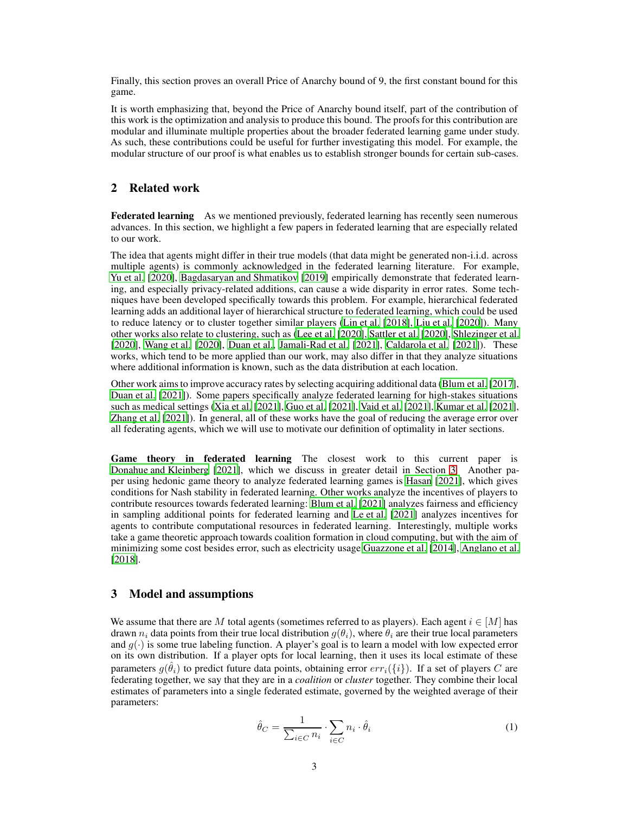Finally, this section proves an overall Price of Anarchy bound of 9, the first constant bound for this game.

It is worth emphasizing that, beyond the Price of Anarchy bound itself, part of the contribution of this work is the optimization and analysis to produce this bound. The proofs for this contribution are modular and illuminate multiple properties about the broader federated learning game under study. As such, these contributions could be useful for further investigating this model. For example, the modular structure of our proof is what enables us to establish stronger bounds for certain sub-cases.

# 2 Related work

Federated learning As we mentioned previously, federated learning has recently seen numerous advances. In this section, we highlight a few papers in federated learning that are especially related to our work.

The idea that agents might differ in their true models (that data might be generated non-i.i.d. across multiple agents) is commonly acknowledged in the federated learning literature. For example, [Yu et al. \[2020\]](#page-11-0), [Bagdasaryan and Shmatikov](#page-9-0) [\[2019\]](#page-9-0) empirically demonstrate that federated learning, and especially privacy-related additions, can cause a wide disparity in error rates. Some techniques have been developed specifically towards this problem. For example, hierarchical federated learning adds an additional layer of hierarchical structure to federated learning, which could be used to reduce latency or to cluster together similar players [\(Lin et al. \[2018](#page-10-8)], [Liu et al. \[2020](#page-10-9)]). Many other works also relate to clustering, such as [\(Lee et al.](#page-10-10) [\[2020\]](#page-10-10), [Sattler et al. \[2020](#page-11-2)], [Shlezinger et al.](#page-11-3) [\[2020\]](#page-11-3), [Wang et al. \[2020\]](#page-11-4), [Duan et al.,](#page-9-2) [Jamali-Rad et al.](#page-10-11) [\[2021\]](#page-10-11), [Caldarola et al. \[2021\]](#page-9-3)). These works, which tend to be more applied than our work, may also differ in that they analyze situations where additional information is known, such as the data distribution at each location.

Other work aims to improve accuracy rates by selecting acquiring additional data [\(Blum et al.](#page-9-4) [\[2017\]](#page-9-4), [Duan et al.](#page-9-5) [\[2021\]](#page-9-5)). Some papers specifically analyze federated learning for high-stakes situations such as medical settings [\(Xia et al.](#page-11-5) [\[2021\]](#page-11-5), [Guo et al. \[2021\]](#page-10-12), [Vaid et al.](#page-11-6) [\[2021\]](#page-11-6), [Kumar et al.](#page-10-13) [\[2021\]](#page-10-13), [Zhang et al. \[2021](#page-11-7)]). In general, all of these works have the goal of reducing the average error over all federating agents, which we will use to motivate our definition of optimality in later sections.

Game theory in federated learning The closest work to this current paper is [Donahue and Kleinberg \[2021\]](#page-9-1), which we discuss in greater detail in Section [3.](#page-2-0) Another paper using hedonic game theory to analyze federated learning games is [Hasan](#page-10-6) [\[2021\]](#page-10-6), which gives conditions for Nash stability in federated learning. Other works analyze the incentives of players to contribute resources towards federated learning: [Blum et al.](#page-9-6) [\[2021\]](#page-9-6) analyzes fairness and efficiency in sampling additional points for federated learning and Le [et al. \[2021](#page-10-14)] analyzes incentives for agents to contribute computational resources in federated learning. Interestingly, multiple works take a game theoretic approach towards coalition formation in cloud computing, but with the aim of minimizing some cost besides error, such as electricity usage [Guazzone et al. \[2014](#page-9-7)], [Anglano et al.](#page-9-8) [\[2018\]](#page-9-8).

#### <span id="page-2-0"></span>3 Model and assumptions

We assume that there are M total agents (sometimes referred to as players). Each agent  $i \in [M]$  has drawn  $n_i$  data points from their true local distribution  $q(\theta_i)$ , where  $\theta_i$  are their true local parameters and  $g(\cdot)$  is some true labeling function. A player's goal is to learn a model with low expected error on its own distribution. If a player opts for local learning, then it uses its local estimate of these parameters  $g(\hat{\theta}_i)$  to predict future data points, obtaining error  $err_i(\{i\})$ . If a set of players  $C$  are federating together, we say that they are in a *coalition* or *cluster* together. They combine their local estimates of parameters into a single federated estimate, governed by the weighted average of their parameters:

<span id="page-2-1"></span>
$$
\hat{\theta}_C = \frac{1}{\sum_{i \in C} n_i} \cdot \sum_{i \in C} n_i \cdot \hat{\theta}_i \tag{1}
$$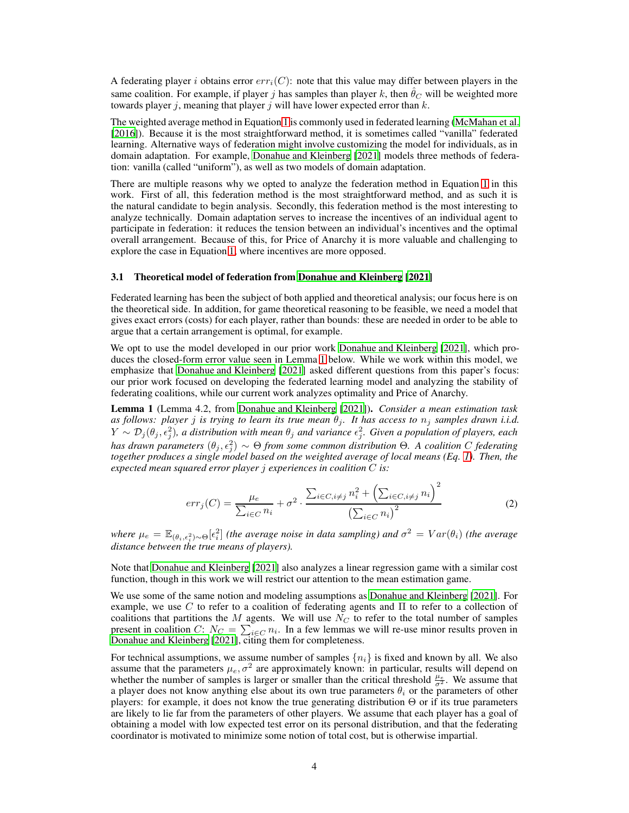A federating player i obtains error  $err_i(C)$ : note that this value may differ between players in the same coalition. For example, if player j has samples than player k, then  $\theta_C$  will be weighted more towards player *i*, meaning that player *i* will have lower expected error than  $k$ .

The weighted average method in Equation [1](#page-2-1) is commonly used in federated learning [\(McMahan et al.](#page-10-0) [\[2016\]](#page-10-0)). Because it is the most straightforward method, it is sometimes called "vanilla" federated learning. Alternative ways of federation might involve customizing the model for individuals, as in domain adaptation. For example, [Donahue and Kleinberg](#page-9-1) [\[2021\]](#page-9-1) models three methods of federation: vanilla (called "uniform"), as well as two models of domain adaptation.

There are multiple reasons why we opted to analyze the federation method in Equation [1](#page-2-1) in this work. First of all, this federation method is the most straightforward method, and as such it is the natural candidate to begin analysis. Secondly, this federation method is the most interesting to analyze technically. Domain adaptation serves to increase the incentives of an individual agent to participate in federation: it reduces the tension between an individual's incentives and the optimal overall arrangement. Because of this, for Price of Anarchy it is more valuable and challenging to explore the case in Equation [1,](#page-2-1) where incentives are more opposed.

#### 3.1 Theoretical model of federation from [Donahue and Kleinberg \[2021\]](#page-9-1)

Federated learning has been the subject of both applied and theoretical analysis; our focus here is on the theoretical side. In addition, for game theoretical reasoning to be feasible, we need a model that gives exact errors (costs) for each player, rather than bounds: these are needed in order to be able to argue that a certain arrangement is optimal, for example.

We opt to use the model developed in our prior work [Donahue and](#page-9-1) Kleinberg [\[2021\]](#page-9-1), which produces the closed-form error value seen in Lemma [1](#page-3-0) below. While we work within this model, we emphasize that [Donahue and Kleinberg](#page-9-1) [\[2021\]](#page-9-1) asked different questions from this paper's focus: our prior work focused on developing the federated learning model and analyzing the stability of federating coalitions, while our current work analyzes optimality and Price of Anarchy.

<span id="page-3-0"></span>Lemma 1 (Lemma 4.2, from [Donahue and Kleinberg \[2021](#page-9-1)]). *Consider a mean estimation task as follows: player j is trying to learn its true mean*  $\theta_j$ *. It has access to*  $n_j$  *samples drawn i.i.d.*  $Y \sim \mathcal{D}_j(\theta_j, \epsilon_j^2)$ , a distribution with mean  $\theta_j$  and variance  $\epsilon_j^2$ . Given a population of players, each *has drawn parameters*  $(θ_j, ε_j^2) \sim Θ$  *from some common distribution*  $Θ$ *. A coalition*  $C$  *federating together produces a single model based on the weighted average of local means (Eq. [1\)](#page-2-1). Then, the expected mean squared error player* j *experiences in coalition* C *is:*

<span id="page-3-1"></span>
$$
err_j(C) = \frac{\mu_e}{\sum_{i \in C} n_i} + \sigma^2 \cdot \frac{\sum_{i \in C, i \neq j} n_i^2 + \left(\sum_{i \in C, i \neq j} n_i\right)^2}{\left(\sum_{i \in C} n_i\right)^2}
$$
(2)

where  $\mu_e = \mathbb{E}_{(\theta_i,\epsilon_i^2)\sim\Theta}[\epsilon_i^2]$  *(the average noise in data sampling) and*  $\sigma^2 = Var(\theta_i)$  *(the average distance between the true means of players).*

Note that [Donahue and Kleinberg](#page-9-1) [\[2021\]](#page-9-1) also analyzes a linear regression game with a similar cost function, though in this work we will restrict our attention to the mean estimation game.

We use some of the same notion and modeling assumptions as [Donahue and Kleinberg \[2021](#page-9-1)]. For example, we use C to refer to a coalition of federating agents and  $\Pi$  to refer to a collection of coalitions that partitions the  $M$  agents. We will use  $N_C$  to refer to the total number of samples present in coalition C:  $N_C = \sum_{i \in C} n_i$ . In a few lemmas we will re-use minor results proven in [Donahue and Kleinberg](#page-9-1) [\[2021\]](#page-9-1), citing them for completeness.

For technical assumptions, we assume number of samples  $\{n_i\}$  is fixed and known by all. We also assume that the parameters  $\mu_e, \sigma^2$  are approximately known: in particular, results will depend on whether the number of samples is larger or smaller than the critical threshold  $\frac{\mu_e}{\sigma^2}$ . We assume that a player does not know anything else about its own true parameters  $\theta_i$  or the parameters of other players: for example, it does not know the true generating distribution Θ or if its true parameters are likely to lie far from the parameters of other players. We assume that each player has a goal of obtaining a model with low expected test error on its personal distribution, and that the federating coordinator is motivated to minimize some notion of total cost, but is otherwise impartial.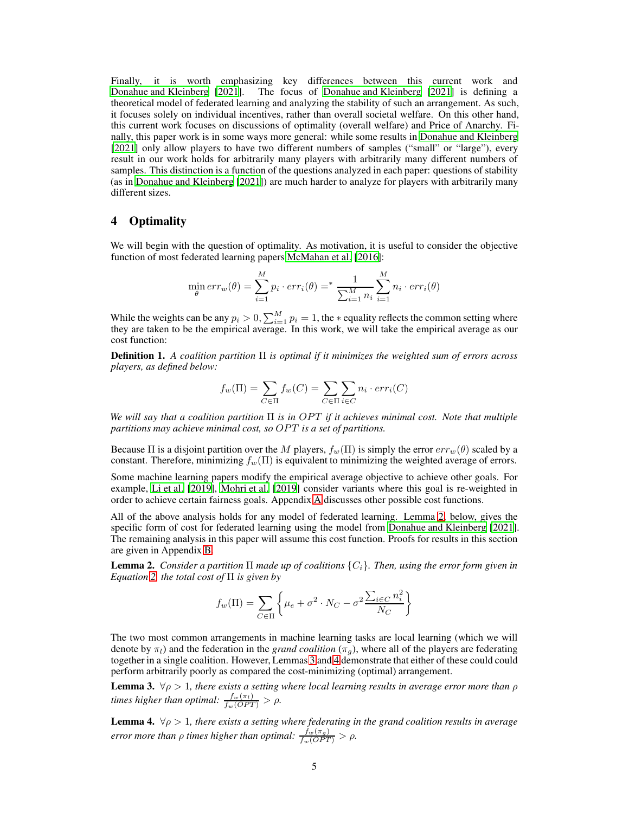Finally, it is worth emphasizing key differences between this current work and [Donahue and Kleinberg \[2021](#page-9-1)]. The focus of [Donahue and Kleinberg \[2021](#page-9-1)] is defining a theoretical model of federated learning and analyzing the stability of such an arrangement. As such, it focuses solely on individual incentives, rather than overall societal welfare. On this other hand, this current work focuses on discussions of optimality (overall welfare) and Price of Anarchy. Finally, this paper work is in some ways more general: while some results in [Donahue and Kleinberg](#page-9-1) [\[2021\]](#page-9-1) only allow players to have two different numbers of samples ("small" or "large"), every result in our work holds for arbitrarily many players with arbitrarily many different numbers of samples. This distinction is a function of the questions analyzed in each paper: questions of stability (as in [Donahue and Kleinberg \[2021\]](#page-9-1)) are much harder to analyze for players with arbitrarily many different sizes.

#### <span id="page-4-0"></span>4 Optimality

We will begin with the question of optimality. As motivation, it is useful to consider the objective function of most federated learning papers [McMahan et al. \[2016](#page-10-0)]:

$$
\min_{\theta} err_w(\theta) = \sum_{i=1}^{M} p_i \cdot err_i(\theta) = \sum_{i=1}^{N} \sum_{i=1}^{M} n_i \cdot err_i(\theta)
$$

While the weights can be any  $p_i > 0$ ,  $\sum_{i=1}^{M} p_i = 1$ , the  $*$  equality reflects the common setting where they are taken to be the empirical average. In this work, we will take the empirical average as our cost function:

<span id="page-4-4"></span>Definition 1. *A coalition partition* Π *is optimal if it minimizes the weighted sum of errors across players, as defined below:*

$$
f_w(\Pi) = \sum_{C \in \Pi} f_w(C) = \sum_{C \in \Pi} \sum_{i \in C} n_i \cdot err_i(C)
$$

*We will say that a coalition partition* Π *is in OPT if it achieves minimal cost. Note that multiple partitions may achieve minimal cost, so OPT is a set of partitions.* 

Because  $\Pi$  is a disjoint partition over the M players,  $f_w(\Pi)$  is simply the error  $err_w(\theta)$  scaled by a constant. Therefore, minimizing  $f_w(\Pi)$  is equivalent to minimizing the weighted average of errors.

Some machine learning papers modify the empirical average objective to achieve other goals. For example, [Li et al.](#page-10-4) [\[2019\]](#page-10-4), [Mohri et al.](#page-10-5) [\[2019\]](#page-10-5) consider variants where this goal is re-weighted in order to achieve certain fairness goals. Appendix [A](#page-12-0) discusses other possible cost functions.

All of the above analysis holds for any model of federated learning. Lemma [2,](#page-4-1) below, gives the specific form of cost for federated learning using the model from [Donahue and Kleinberg \[2021\]](#page-9-1). The remaining analysis in this paper will assume this cost function. Proofs for results in this section are given in Appendix [B.](#page-12-1)

<span id="page-4-1"></span>**Lemma 2.** *Consider a partition*  $\Pi$  *made up of coalitions*  $\{C_i\}$ *. Then, using the error form given in Equation [2,](#page-3-1) the total cost of* Π *is given by*

$$
f_w(\Pi) = \sum_{C \in \Pi} \left\{ \mu_e + \sigma^2 \cdot N_C - \sigma^2 \frac{\sum_{i \in C} n_i^2}{N_C} \right\}
$$

The two most common arrangements in machine learning tasks are local learning (which we will denote by  $\pi_l$ ) and the federation in the *grand coalition* ( $\pi_q$ ), where all of the players are federating together in a single coalition. However, Lemmas [3](#page-4-2) and [4](#page-4-3) demonstrate that either of these could could perform arbitrarily poorly as compared the cost-minimizing (optimal) arrangement.

<span id="page-4-2"></span>**Lemma 3.**  $\forall \rho > 1$ , there exists a setting where local learning results in average error more than  $\rho$ *times higher than optimal:*  $\frac{f_w(\pi_l)}{f_w(OPT)} > \rho$ .

<span id="page-4-3"></span>**Lemma 4.**  $\forall \rho > 1$ , there exists a setting where federating in the grand coalition results in average *error more than*  $\rho$  *times higher than optimal:*  $\frac{f_w(\pi_g)}{f_w(OPT)} > \rho$ .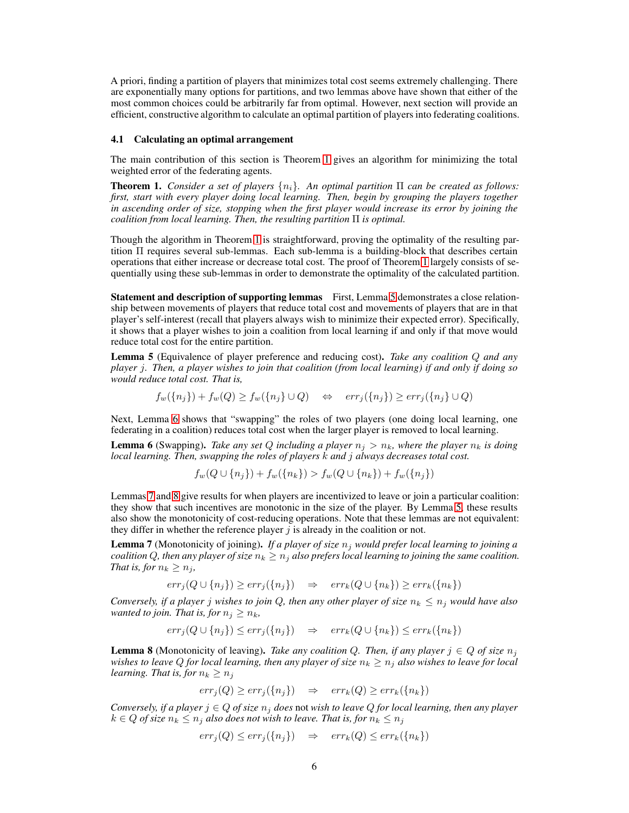A priori, finding a partition of players that minimizes total cost seems extremely challenging. There are exponentially many options for partitions, and two lemmas above have shown that either of the most common choices could be arbitrarily far from optimal. However, next section will provide an efficient, constructive algorithm to calculate an optimal partition of players into federating coalitions.

#### 4.1 Calculating an optimal arrangement

The main contribution of this section is Theorem [1](#page-5-0) gives an algorithm for minimizing the total weighted error of the federating agents.

<span id="page-5-0"></span>Theorem 1. *Consider a set of players* {ni}*. An optimal partition* Π *can be created as follows: first, start with every player doing local learning. Then, begin by grouping the players together in ascending order of size, stopping when the first player would increase its error by joining the coalition from local learning. Then, the resulting partition* Π *is optimal.*

Though the algorithm in Theorem [1](#page-5-0) is straightforward, proving the optimality of the resulting partition Π requires several sub-lemmas. Each sub-lemma is a building-block that describes certain operations that either increase or decrease total cost. The proof of Theorem [1](#page-5-0) largely consists of sequentially using these sub-lemmas in order to demonstrate the optimality of the calculated partition.

Statement and description of supporting lemmas First, Lemma [5](#page-5-1) demonstrates a close relationship between movements of players that reduce total cost and movements of players that are in that player's self-interest (recall that players always wish to minimize their expected error). Specifically, it shows that a player wishes to join a coalition from local learning if and only if that move would reduce total cost for the entire partition.

<span id="page-5-1"></span>Lemma 5 (Equivalence of player preference and reducing cost). *Take any coalition* Q *and any player* j*. Then, a player wishes to join that coalition (from local learning) if and only if doing so would reduce total cost. That is,*

$$
f_w({n_j}) + f_w(Q) \ge f_w({n_j} \cup Q) \quad \Leftrightarrow \quad err_j({n_j}) \ge err_j({n_j} \cup Q)
$$

Next, Lemma [6](#page-5-2) shows that "swapping" the roles of two players (one doing local learning, one federating in a coalition) reduces total cost when the larger player is removed to local learning.

<span id="page-5-2"></span>**Lemma 6** (Swapping). *Take any set Q including a player*  $n_j > n_k$ *, where the player*  $n_k$  *is doing local learning. Then, swapping the roles of players* k *and* j *always decreases total cost.*

 $f_w(Q \cup \{n_i\}) + f_w(\{n_k\}) > f_w(Q \cup \{n_k\}) + f_w(\{n_i\})$ 

Lemmas [7](#page-5-3) and [8](#page-5-4) give results for when players are incentivized to leave or join a particular coalition: they show that such incentives are monotonic in the size of the player. By Lemma [5,](#page-5-1) these results also show the monotonicity of cost-reducing operations. Note that these lemmas are not equivalent: they differ in whether the reference player  $j$  is already in the coalition or not.

<span id="page-5-3"></span>Lemma 7 (Monotonicity of joining). *If a player of size*  $n_j$  *would prefer local learning to joining a coalition* Q, then any player of size  $n_k \geq n_j$  also prefers local learning to joining the same coalition. *That is, for*  $n_k \geq n_j$ *,* 

$$
err_j(Q \cup \{n_j\}) \geq err_j(\{n_j\}) \Rightarrow err_k(Q \cup \{n_k\}) \geq err_k(\{n_k\})
$$

*Conversely, if a player j wishes to join* Q, then any other player of size  $n_k \leq n_j$  would have also *wanted to join. That is, for*  $n_j \geq n_k$ ,

$$
err_j(Q \cup \{n_j\}) \leq err_j(\{n_j\}) \Rightarrow err_k(Q \cup \{n_k\}) \leq err_k(\{n_k\})
$$

<span id="page-5-4"></span>**Lemma 8** (Monotonicity of leaving). *Take any coalition Q. Then, if any player*  $j \in Q$  *of size*  $n_j$ *wishes to leave Q for local learning, then any player of size*  $n_k \geq n_j$  *also wishes to leave for local learning. That is, for*  $n_k \geq n_j$ 

$$
err_j(Q) \ge err_j(\{n_j\}) \quad \Rightarrow \quad err_k(Q) \ge err_k(\{n_k\})
$$

*Conversely, if a player*  $j \in Q$  *of size*  $n_j$  *does* not *wish to leave*  $Q$  *for local learning, then any player*  $k \in Q$  *of size*  $n_k \leq n_j$  *also does not wish to leave. That is, for*  $n_k \leq n_j$ 

$$
err_j(Q) \le err_j(\{n_j\}) \quad \Rightarrow \quad err_k(Q) \le err_k(\{n_k\})
$$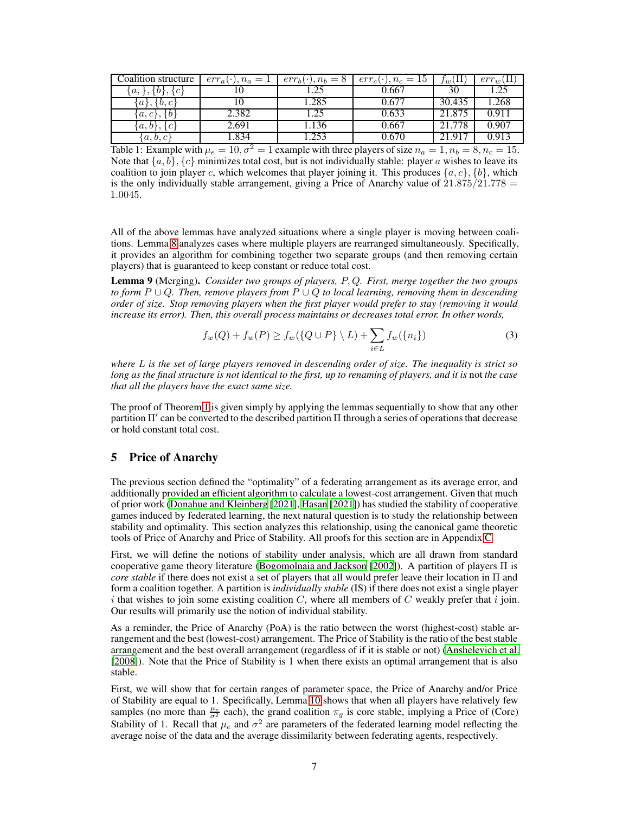| Coalition structure   | $err_a(\cdot), n_a=1$ | $err_b(\cdot), n_b = 8$ | $err_c(\cdot), n_c = 15$ | $\mathbf{H}$<br>$Jw^{\dagger}$ | $err_w(11)$ |
|-----------------------|-----------------------|-------------------------|--------------------------|--------------------------------|-------------|
| a,<br>ЗC              |                       | .25                     | 0.667                    | 30                             | 1.25        |
| b, c<br>$a_{\lambda}$ |                       | 1.285                   | 0.677                    | 30.435                         | 1.268       |
| $a, c$ ,              | 2.382                 | .25                     | 0.633                    | 21.875                         | 0.911       |
| a, b                  | 2.691                 | .136                    | 0.667                    | 21.778                         | 0.907       |
| a, b, c               | 1.834                 | 1.253                   | 0.670                    | 21 917                         | 0.913       |

<span id="page-6-1"></span>Table 1: Example with  $\mu_e = 10$ ,  $\sigma^2 = 1$  example with three players of size  $n_a = 1$ ,  $n_b = 8$ ,  $n_c = 15$ . Note that  $\{a, b\}, \{c\}$  minimizes total cost, but is not individually stable: player a wishes to leave its coalition to join player c, which welcomes that player joining it. This produces  $\{a, c\}$ ,  $\{b\}$ , which is the only individually stable arrangement, giving a Price of Anarchy value of  $21.875/21.778$  = 1.0045.

All of the above lemmas have analyzed situations where a single player is moving between coalitions. Lemma [8](#page-5-4) analyzes cases where multiple players are rearranged simultaneously. Specifically, it provides an algorithm for combining together two separate groups (and then removing certain players) that is guaranteed to keep constant or reduce total cost.

<span id="page-6-2"></span>Lemma 9 (Merging). *Consider two groups of players,* P, Q*. First, merge together the two groups to form* P ∪ Q*. Then, remove players from* P ∪ Q *to local learning, removing them in descending order of size. Stop removing players when the first player would prefer to stay (removing it would increase its error). Then, this overall process maintains or decreases total error. In other words,*

<span id="page-6-3"></span>
$$
f_w(Q) + f_w(P) \ge f_w(\lbrace Q \cup P \rbrace \setminus L) + \sum_{i \in L} f_w(\lbrace n_i \rbrace)
$$
 (3)

*where* L *is the set of large players removed in descending order of size. The inequality is strict so* long as the final structure is not identical to the first, up to renaming of players, and it is not the case *that all the players have the exact same size.*

The proof of Theorem [1](#page-5-0) is given simply by applying the lemmas sequentially to show that any other partition Π′ can be converted to the described partition Π through a series of operations that decrease or hold constant total cost.

#### <span id="page-6-0"></span>5 Price of Anarchy

The previous section defined the "optimality" of a federating arrangement as its average error, and additionally provided an efficient algorithm to calculate a lowest-cost arrangement. Given that much of prior work [\(Donahue and Kleinberg \[2021\]](#page-9-1), [Hasan \[2021](#page-10-6)]) has studied the stability of cooperative games induced by federated learning, the next natural question is to study the relationship between stability and optimality. This section analyzes this relationship, using the canonical game theoretic tools of Price of Anarchy and Price of Stability. All proofs for this section are in Appendix [C.](#page-21-0)

First, we will define the notions of stability under analysis, which are all drawn from standard cooperative game theory literature [\(Bogomolnaia and Jackson \[2002](#page-9-9)]). A partition of players  $\Pi$  is *core stable* if there does not exist a set of players that all would prefer leave their location in Π and form a coalition together. A partition is *individually stable* (IS) if there does not exist a single player i that wishes to join some existing coalition  $C$ , where all members of  $C$  weakly prefer that i join. Our results will primarily use the notion of individual stability.

As a reminder, the Price of Anarchy (PoA) is the ratio between the worst (highest-cost) stable arrangement and the best (lowest-cost) arrangement. The Price of Stability is the ratio of the best stable arrangement and the best overall arrangement (regardless of if it is stable or not) [\(Anshelevich et al.](#page-9-10) [\[2008\]](#page-9-10)). Note that the Price of Stability is 1 when there exists an optimal arrangement that is also stable.

First, we will show that for certain ranges of parameter space, the Price of Anarchy and/or Price of Stability are equal to 1. Specifically, Lemma [10](#page-7-0) shows that when all players have relatively few samples (no more than  $\frac{\mu_e}{\sigma^2}$  each), the grand coalition  $\pi_g$  is core stable, implying a Price of (Core) Stability of 1. Recall that  $\mu_e$  and  $\sigma^2$  are parameters of the federated learning model reflecting the average noise of the data and the average dissimilarity between federating agents, respectively.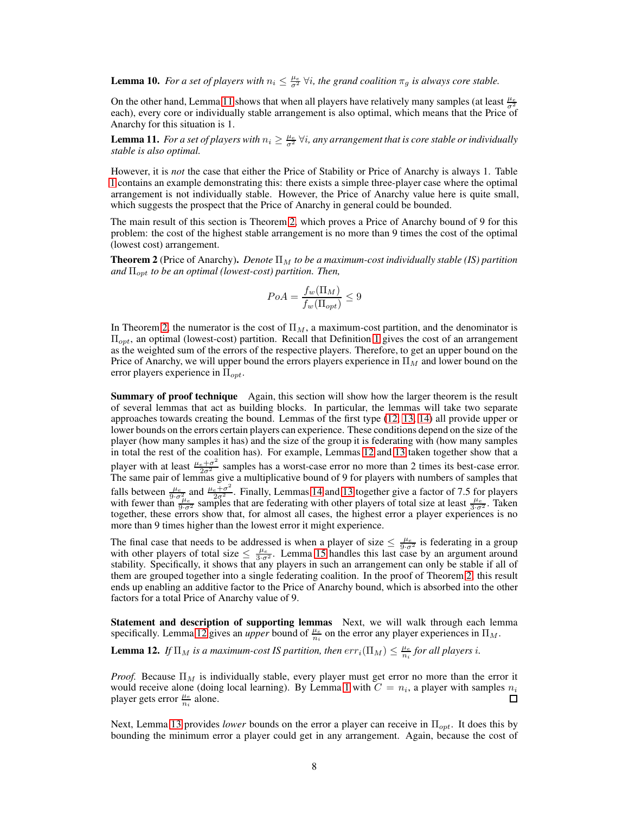<span id="page-7-0"></span>**Lemma 10.** For a set of players with  $n_i \leq \frac{\mu_e}{\sigma^2} \forall i$ , the grand coalition  $\pi_g$  is always core stable.

On the other hand, Lemma [11](#page-7-1) shows that when all players have relatively many samples (at least  $\frac{\mu_e}{\sigma^2}$ each), every core or individually stable arrangement is also optimal, which means that the Price of Anarchy for this situation is 1.

<span id="page-7-1"></span>**Lemma 11.** For a set of players with  $n_i \geq \frac{\mu_e}{\sigma^2} \forall i$ , any arrangement that is core stable or individually *stable is also optimal.*

However, it is *not* the case that either the Price of Stability or Price of Anarchy is always 1. Table [1](#page-6-1) contains an example demonstrating this: there exists a simple three-player case where the optimal arrangement is not individually stable. However, the Price of Anarchy value here is quite small, which suggests the prospect that the Price of Anarchy in general could be bounded.

The main result of this section is Theorem [2,](#page-7-2) which proves a Price of Anarchy bound of 9 for this problem: the cost of the highest stable arrangement is no more than 9 times the cost of the optimal (lowest cost) arrangement.

<span id="page-7-2"></span>**Theorem 2** (Price of Anarchy). *Denote*  $\Pi_M$  *to be a maximum-cost individually stable (IS) partition and* Πopt *to be an optimal (lowest-cost) partition. Then,*

$$
PoA = \frac{f_w(\Pi_M)}{f_w(\Pi_{opt})} \le 9
$$

In Theorem [2,](#page-7-2) the numerator is the cost of  $\Pi_M$ , a maximum-cost partition, and the denominator is  $\Pi_{opt}$ , an optimal (lowest-cost) partition. Recall that Definition [1](#page-4-4) gives the cost of an arrangement as the weighted sum of the errors of the respective players. Therefore, to get an upper bound on the Price of Anarchy, we will upper bound the errors players experience in  $\Pi_M$  and lower bound on the error players experience in  $\Pi_{opt}$ .

Summary of proof technique Again, this section will show how the larger theorem is the result of several lemmas that act as building blocks. In particular, the lemmas will take two separate approaches towards creating the bound. Lemmas of the first type [\(12,](#page-7-3) [13,](#page-8-0) [14\)](#page-8-1) all provide upper or lower bounds on the errors certain players can experience. These conditions depend on the size of the player (how many samples it has) and the size of the group it is federating with (how many samples in total the rest of the coalition has). For example, Lemmas [12](#page-7-3) and [13](#page-8-0) taken together show that a player with at least  $\frac{\mu_e + \sigma^2}{2\sigma^2}$  samples has a worst-case error no more than 2 times its best-case error.<br>The same pair of lemmas give a multiplicative bound of 9 for players with numbers of samples that falls between  $\frac{\mu_e}{9 \cdot \sigma^2}$  and  $\frac{\mu_e + \sigma^2}{2 \sigma^2}$ . Finally, Lemmas [14](#page-8-1) and [13](#page-8-0) together give a factor of 7.5 for players with fewer than  $\frac{\mu_e}{9 \cdot \sigma^2}$  samples that are federating with other players of total size at together, these errors show that, for almost all cases, the highest error a player experiences is no more than 9 times higher than the lowest error it might experience.

The final case that needs to be addressed is when a player of size  $\leq \frac{\mu_e}{9\sigma^2}$  is federating in a group with other players of total size  $\leq \frac{\mu_e}{3\sigma^2}$ . Lemma [15](#page-8-2) handles this last case by an argument around stability. Specifically, it shows that any players in such an arrangement can only be stable if all of them are grouped together into a single federating coalition. In the proof of Theorem [2,](#page-7-2) this result ends up enabling an additive factor to the Price of Anarchy bound, which is absorbed into the other factors for a total Price of Anarchy value of 9.

Statement and description of supporting lemmas Next, we will walk through each lemma specifically. Lemma [12](#page-7-3) gives an *upper* bound of  $\frac{\mu_e}{n_i}$  on the error any player experiences in  $\Pi_M$ .

<span id="page-7-3"></span>**Lemma 12.** If  $\Pi_M$  is a maximum-cost IS partition, then  $err_i(\Pi_M) \leq \frac{\mu_e}{n_i}$  for all players i.

*Proof.* Because  $\Pi_M$  is individually stable, every player must get error no more than the error it would receive alone (doing local learning). By Lemma [1](#page-3-0) with  $C = n_i$ , a player with samples  $n_i$ player gets error  $\frac{\mu_e}{n_i}$  alone.

Next, Lemma [13](#page-8-0) provides *lower* bounds on the error a player can receive in Π<sub>opt</sub>. It does this by bounding the minimum error a player could get in any arrangement. Again, because the cost of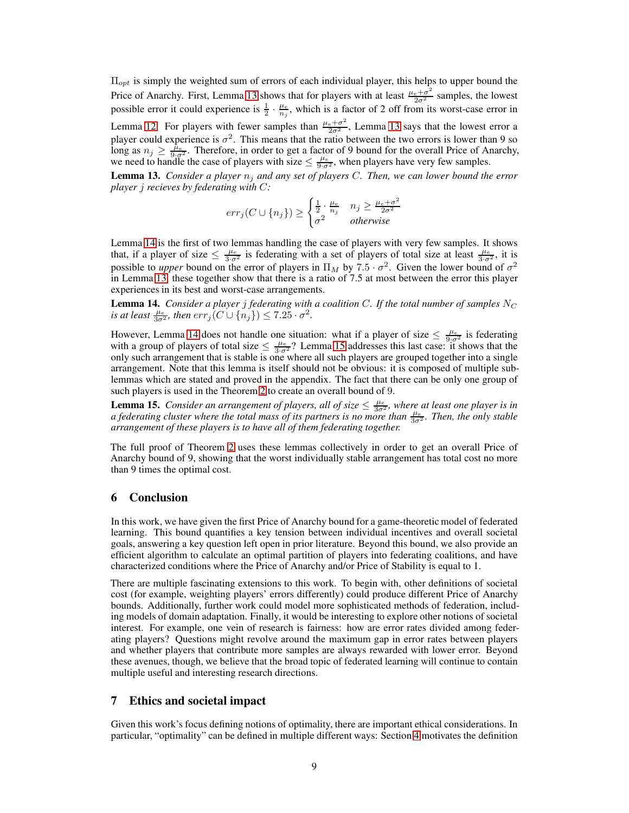$\Pi_{opt}$  is simply the weighted sum of errors of each individual player, this helps to upper bound the Price of Anarchy. First, Lemma [13](#page-8-0) shows that for players with at least  $\frac{\mu_e + \sigma^2}{2\sigma^2}$  samples, the lowest possible error it could experience is  $\frac{1}{2} \cdot \frac{\mu_e}{n_j}$ , which is a factor of 2 off from its worst-case error in Lemma [12.](#page-7-3) For players with fewer samples than  $\frac{\mu_e + \sigma^2}{2\sigma^2}$ , Lemma [13](#page-8-0) says that the lowest error a player could experience is  $\sigma^2$ . This means that the ratio between the two errors is lower than 9 so long as  $n_j \ge \frac{\tilde{\mu}_e}{9\cdot\sigma^2}$ . Therefore, in order to get a factor of 9 bound for the overall Price of Anarchy, we need to handle the case of players with size  $\leq \frac{\mu_e}{9\cdot \sigma^2}$ , when players have very few samples.

<span id="page-8-0"></span>**Lemma 13.** *Consider a player*  $n_j$  *and any set of players C. Then, we can lower bound the error player* j *recieves by federating with* C*:*

$$
err_j(C \cup \{n_j\}) \ge \begin{cases} \frac{1}{2} \cdot \frac{\mu_e}{n_j} & n_j \ge \frac{\mu_e + \sigma^2}{2\sigma^2} \\ \sigma^2 & otherwise \end{cases}
$$

Lemma [14](#page-8-1) is the first of two lemmas handling the case of players with very few samples. It shows that, if a player of size  $\leq \frac{\mu_e}{3\cdot\sigma^2}$  is federating with a set of players of total size at least  $\frac{\mu_e}{3\cdot\sigma^2}$ , it is possible to *upper* bound on the error of players in  $\Pi_M$  by 7.5  $\cdot \sigma^2$ . Given the lower bound of  $\sigma^2$ in Lemma [13,](#page-8-0) these together show that there is a ratio of 7.5 at most between the error this player experiences in its best and worst-case arrangements.

<span id="page-8-1"></span>**Lemma 14.** *Consider a player j federating with a coalition C. If the total number of samples*  $N_C$ *is at least*  $\frac{\mu_e}{3\sigma^2}$ , then  $err_j(C \cup \{n_j\}) \leq 7.25 \cdot \sigma^2$ .

However, Lemma [14](#page-8-1) does not handle one situation: what if a player of size  $\leq \frac{\mu_e}{9\cdot \sigma^2}$  is federating with a group of players of total size  $\leq \frac{\mu_e}{3\cdot \sigma^2}$ ? Lemma [15](#page-8-2) addresses this last case: it shows that the only such arrangement that is stable is one where all such players are grouped together into a single arrangement. Note that this lemma is itself should not be obvious: it is composed of multiple sublemmas which are stated and proved in the appendix. The fact that there can be only one group of such players is used in the Theorem [2](#page-7-2) to create an overall bound of 9.

<span id="page-8-2"></span>**Lemma 15.** *Consider an arrangement of players, all of size*  $\leq \frac{\mu_e}{3\sigma^2}$ , where at least one player is in *a federating cluster where the total mass of its partners is no more than*  $\frac{\mu_e}{3\sigma^2}$ *. Then, the only stable arrangement of these players is to have all of them federating together.*

The full proof of Theorem [2](#page-7-2) uses these lemmas collectively in order to get an overall Price of Anarchy bound of 9, showing that the worst individually stable arrangement has total cost no more than 9 times the optimal cost.

#### 6 Conclusion

In this work, we have given the first Price of Anarchy bound for a game-theoretic model of federated learning. This bound quantifies a key tension between individual incentives and overall societal goals, answering a key question left open in prior literature. Beyond this bound, we also provide an efficient algorithm to calculate an optimal partition of players into federating coalitions, and have characterized conditions where the Price of Anarchy and/or Price of Stability is equal to 1.

There are multiple fascinating extensions to this work. To begin with, other definitions of societal cost (for example, weighting players' errors differently) could produce different Price of Anarchy bounds. Additionally, further work could model more sophisticated methods of federation, including models of domain adaptation. Finally, it would be interesting to explore other notions of societal interest. For example, one vein of research is fairness: how are error rates divided among federating players? Questions might revolve around the maximum gap in error rates between players and whether players that contribute more samples are always rewarded with lower error. Beyond these avenues, though, we believe that the broad topic of federated learning will continue to contain multiple useful and interesting research directions.

## 7 Ethics and societal impact

Given this work's focus defining notions of optimality, there are important ethical considerations. In particular, "optimality" can be defined in multiple different ways: Section [4](#page-4-0) motivates the definition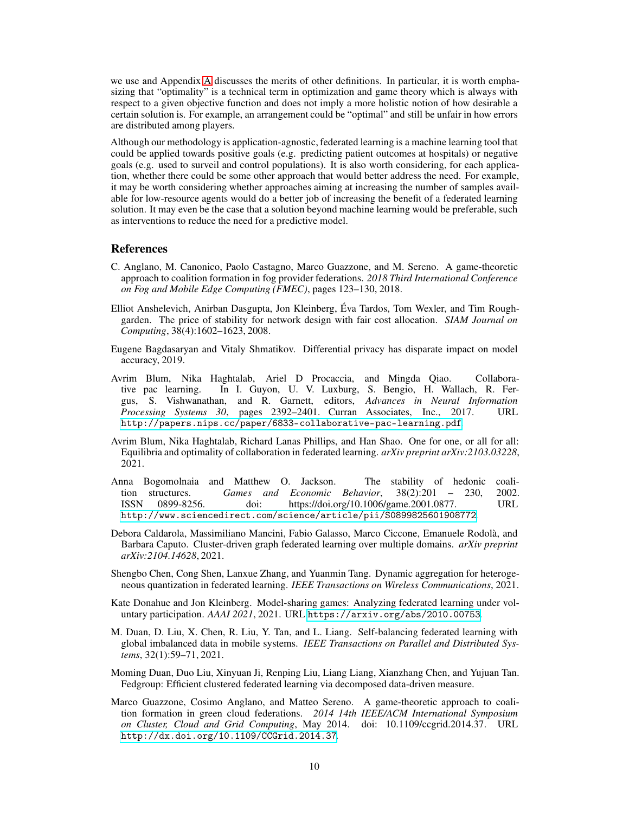we use and Appendix [A](#page-12-0) discusses the merits of other definitions. In particular, it is worth emphasizing that "optimality" is a technical term in optimization and game theory which is always with respect to a given objective function and does not imply a more holistic notion of how desirable a certain solution is. For example, an arrangement could be "optimal" and still be unfair in how errors are distributed among players.

Although our methodology is application-agnostic, federated learning is a machine learning tool that could be applied towards positive goals (e.g. predicting patient outcomes at hospitals) or negative goals (e.g. used to surveil and control populations). It is also worth considering, for each application, whether there could be some other approach that would better address the need. For example, it may be worth considering whether approaches aiming at increasing the number of samples available for low-resource agents would do a better job of increasing the benefit of a federated learning solution. It may even be the case that a solution beyond machine learning would be preferable, such as interventions to reduce the need for a predictive model.

#### References

- <span id="page-9-8"></span>C. Anglano, M. Canonico, Paolo Castagno, Marco Guazzone, and M. Sereno. A game-theoretic approach to coalition formation in fog provider federations. *2018 Third International Conference on Fog and Mobile Edge Computing (FMEC)*, pages 123–130, 2018.
- <span id="page-9-10"></span>Elliot Anshelevich, Anirban Dasgupta, Jon Kleinberg, Éva Tardos, Tom Wexler, and Tim Roughgarden. The price of stability for network design with fair cost allocation. *SIAM Journal on Computing*, 38(4):1602–1623, 2008.
- <span id="page-9-0"></span>Eugene Bagdasaryan and Vitaly Shmatikov. Differential privacy has disparate impact on model accuracy, 2019.
- <span id="page-9-4"></span>Avrim Blum, Nika Haghtalab, Ariel D Procaccia, and Mingda Qiao. Collaborative pac learning. In I. Guyon, U. V. Luxburg, S. Bengio, H. Wallach, R. Fergus, S. Vishwanathan, and R. Garnett, editors, *Advances in Neural Information Processing Systems 30*, pages 2392–2401. Curran Associates, Inc., 2017. URL <http://papers.nips.cc/paper/6833-collaborative-pac-learning.pdf>.
- <span id="page-9-6"></span>Avrim Blum, Nika Haghtalab, Richard Lanas Phillips, and Han Shao. One for one, or all for all: Equilibria and optimality of collaboration in federated learning. *arXiv preprint arXiv:2103.03228*, 2021.
- <span id="page-9-9"></span>Anna Bogomolnaia and Matthew O. Jackson. The stability of hedonic coalition structures. *Games and Economic Behavior*, 38(2):201 – 230, 2002. ISSN 0899-8256. doi: https://doi.org/10.1006/game.2001.0877. URL <http://www.sciencedirect.com/science/article/pii/S0899825601908772>.
- <span id="page-9-3"></span>Debora Caldarola, Massimiliano Mancini, Fabio Galasso, Marco Ciccone, Emanuele Rodolà, and Barbara Caputo. Cluster-driven graph federated learning over multiple domains. *arXiv preprint arXiv:2104.14628*, 2021.
- <span id="page-9-11"></span>Shengbo Chen, Cong Shen, Lanxue Zhang, and Yuanmin Tang. Dynamic aggregation for heterogeneous quantization in federated learning. *IEEE Transactions on Wireless Communications*, 2021.
- <span id="page-9-1"></span>Kate Donahue and Jon Kleinberg. Model-sharing games: Analyzing federated learning under voluntary participation. *AAAI 2021*, 2021. URL <https://arxiv.org/abs/2010.00753>.
- <span id="page-9-5"></span>M. Duan, D. Liu, X. Chen, R. Liu, Y. Tan, and L. Liang. Self-balancing federated learning with global imbalanced data in mobile systems. *IEEE Transactions on Parallel and Distributed Systems*, 32(1):59–71, 2021.
- <span id="page-9-2"></span>Moming Duan, Duo Liu, Xinyuan Ji, Renping Liu, Liang Liang, Xianzhang Chen, and Yujuan Tan. Fedgroup: Efficient clustered federated learning via decomposed data-driven measure.
- <span id="page-9-7"></span>Marco Guazzone, Cosimo Anglano, and Matteo Sereno. A game-theoretic approach to coalition formation in green cloud federations. *2014 14th IEEE/ACM International Symposium on Cluster, Cloud and Grid Computing*, May 2014. doi: 10.1109/ccgrid.2014.37. URL <http://dx.doi.org/10.1109/CCGrid.2014.37>.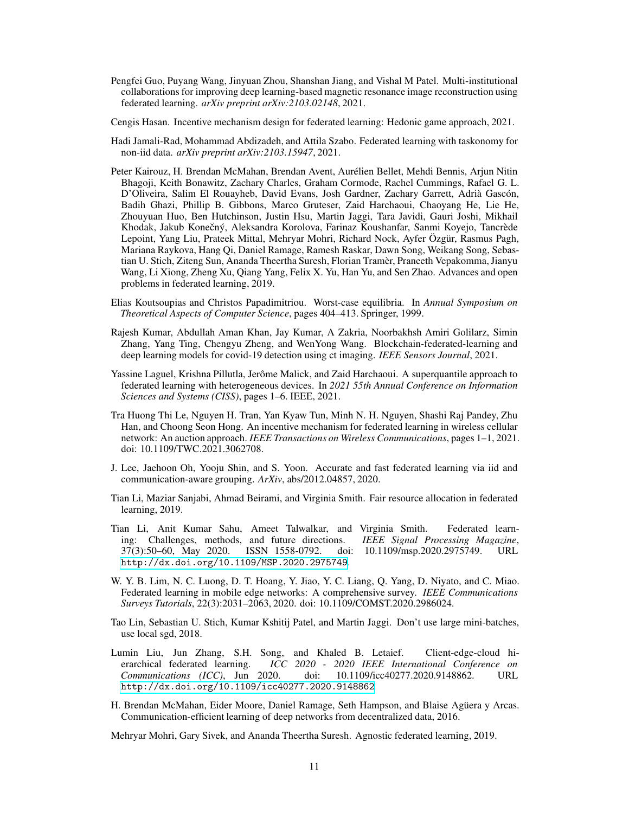- <span id="page-10-12"></span>Pengfei Guo, Puyang Wang, Jinyuan Zhou, Shanshan Jiang, and Vishal M Patel. Multi-institutional collaborations for improving deep learning-based magnetic resonance image reconstruction using federated learning. *arXiv preprint arXiv:2103.02148*, 2021.
- <span id="page-10-6"></span>Cengis Hasan. Incentive mechanism design for federated learning: Hedonic game approach, 2021.
- <span id="page-10-11"></span>Hadi Jamali-Rad, Mohammad Abdizadeh, and Attila Szabo. Federated learning with taskonomy for non-iid data. *arXiv preprint arXiv:2103.15947*, 2021.
- <span id="page-10-2"></span>Peter Kairouz, H. Brendan McMahan, Brendan Avent, Aurélien Bellet, Mehdi Bennis, Arjun Nitin Bhagoji, Keith Bonawitz, Zachary Charles, Graham Cormode, Rachel Cummings, Rafael G. L. D'Oliveira, Salim El Rouayheb, David Evans, Josh Gardner, Zachary Garrett, Adrià Gascón, Badih Ghazi, Phillip B. Gibbons, Marco Gruteser, Zaid Harchaoui, Chaoyang He, Lie He, Zhouyuan Huo, Ben Hutchinson, Justin Hsu, Martin Jaggi, Tara Javidi, Gauri Joshi, Mikhail Khodak, Jakub Konečný, Aleksandra Korolova, Farinaz Koushanfar, Sanmi Kovejo, Tancrède Lepoint, Yang Liu, Prateek Mittal, Mehryar Mohri, Richard Nock, Ayfer Özgür, Rasmus Pagh, Mariana Raykova, Hang Qi, Daniel Ramage, Ramesh Raskar, Dawn Song, Weikang Song, Sebastian U. Stich, Ziteng Sun, Ananda Theertha Suresh, Florian Tramèr, Praneeth Vepakomma, Jianyu Wang, Li Xiong, Zheng Xu, Qiang Yang, Felix X. Yu, Han Yu, and Sen Zhao. Advances and open problems in federated learning, 2019.
- <span id="page-10-7"></span>Elias Koutsoupias and Christos Papadimitriou. Worst-case equilibria. In *Annual Symposium on Theoretical Aspects of Computer Science*, pages 404–413. Springer, 1999.
- <span id="page-10-13"></span>Rajesh Kumar, Abdullah Aman Khan, Jay Kumar, A Zakria, Noorbakhsh Amiri Golilarz, Simin Zhang, Yang Ting, Chengyu Zheng, and WenYong Wang. Blockchain-federated-learning and deep learning models for covid-19 detection using ct imaging. *IEEE Sensors Journal*, 2021.
- <span id="page-10-15"></span>Yassine Laguel, Krishna Pillutla, Jerôme Malick, and Zaid Harchaoui. A superquantile approach to federated learning with heterogeneous devices. In *2021 55th Annual Conference on Information Sciences and Systems (CISS)*, pages 1–6. IEEE, 2021.
- <span id="page-10-14"></span>Tra Huong Thi Le, Nguyen H. Tran, Yan Kyaw Tun, Minh N. H. Nguyen, Shashi Raj Pandey, Zhu Han, and Choong Seon Hong. An incentive mechanism for federated learning in wireless cellular network: An auction approach. *IEEE Transactions on Wireless Communications*, pages 1–1, 2021. doi: 10.1109/TWC.2021.3062708.
- <span id="page-10-10"></span>J. Lee, Jaehoon Oh, Yooju Shin, and S. Yoon. Accurate and fast federated learning via iid and communication-aware grouping. *ArXiv*, abs/2012.04857, 2020.
- <span id="page-10-4"></span>Tian Li, Maziar Sanjabi, Ahmad Beirami, and Virginia Smith. Fair resource allocation in federated learning, 2019.
- <span id="page-10-1"></span>Tian Li, Anit Kumar Sahu, Ameet Talwalkar, and Virginia Smith. Federated learning: Challenges, methods, and future directions. *IEEE Signal Processing Magazine*, 37(3):50–60, May 2020. ISSN 1558-0792. doi: 10.1109/msp.2020.2975749. URL <http://dx.doi.org/10.1109/MSP.2020.2975749>.
- <span id="page-10-3"></span>W. Y. B. Lim, N. C. Luong, D. T. Hoang, Y. Jiao, Y. C. Liang, Q. Yang, D. Niyato, and C. Miao. Federated learning in mobile edge networks: A comprehensive survey. *IEEE Communications Surveys Tutorials*, 22(3):2031–2063, 2020. doi: 10.1109/COMST.2020.2986024.
- <span id="page-10-8"></span>Tao Lin, Sebastian U. Stich, Kumar Kshitij Patel, and Martin Jaggi. Don't use large mini-batches, use local sgd, 2018.
- <span id="page-10-9"></span>Lumin Liu, Jun Zhang, S.H. Song, and Khaled B. Letaief. Client-edge-cloud hierarchical federated learning. *ICC 2020 - 2020 IEEE International Conference on Communications (ICC)*, Jun 2020. doi: 10.1109/icc40277.2020.9148862. URL <http://dx.doi.org/10.1109/icc40277.2020.9148862>.
- <span id="page-10-0"></span>H. Brendan McMahan, Eider Moore, Daniel Ramage, Seth Hampson, and Blaise Agüera y Arcas. Communication-efficient learning of deep networks from decentralized data, 2016.

<span id="page-10-5"></span>Mehryar Mohri, Gary Sivek, and Ananda Theertha Suresh. Agnostic federated learning, 2019.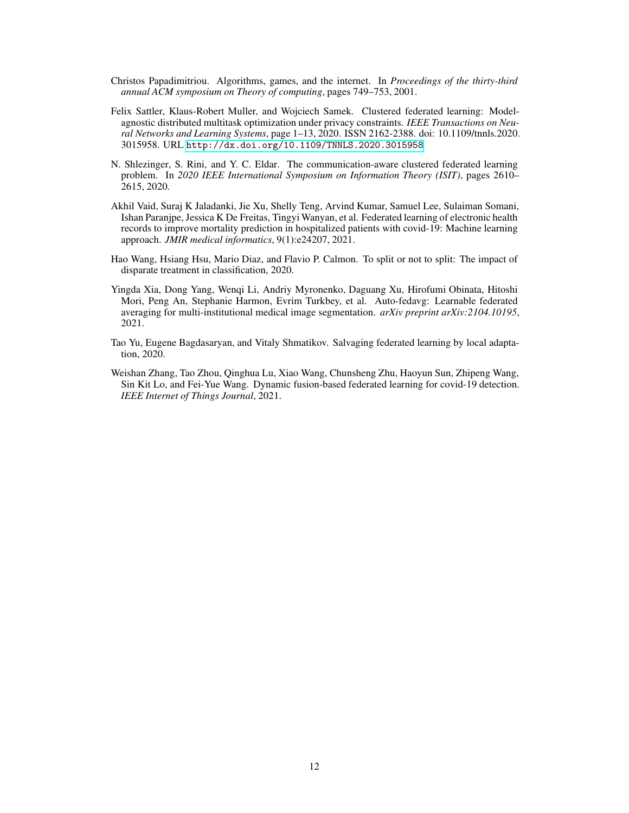- <span id="page-11-1"></span>Christos Papadimitriou. Algorithms, games, and the internet. In *Proceedings of the thirty-third annual ACM symposium on Theory of computing*, pages 749–753, 2001.
- <span id="page-11-2"></span>Felix Sattler, Klaus-Robert Muller, and Wojciech Samek. Clustered federated learning: Modelagnostic distributed multitask optimization under privacy constraints. *IEEE Transactions on Neural Networks and Learning Systems*, page 1–13, 2020. ISSN 2162-2388. doi: 10.1109/tnnls.2020. 3015958. URL <http://dx.doi.org/10.1109/TNNLS.2020.3015958>.
- <span id="page-11-3"></span>N. Shlezinger, S. Rini, and Y. C. Eldar. The communication-aware clustered federated learning problem. In *2020 IEEE International Symposium on Information Theory (ISIT)*, pages 2610– 2615, 2020.
- <span id="page-11-6"></span>Akhil Vaid, Suraj K Jaladanki, Jie Xu, Shelly Teng, Arvind Kumar, Samuel Lee, Sulaiman Somani, Ishan Paranjpe, Jessica K De Freitas, Tingyi Wanyan, et al. Federated learning of electronic health records to improve mortality prediction in hospitalized patients with covid-19: Machine learning approach. *JMIR medical informatics*, 9(1):e24207, 2021.
- <span id="page-11-4"></span>Hao Wang, Hsiang Hsu, Mario Diaz, and Flavio P. Calmon. To split or not to split: The impact of disparate treatment in classification, 2020.
- <span id="page-11-5"></span>Yingda Xia, Dong Yang, Wenqi Li, Andriy Myronenko, Daguang Xu, Hirofumi Obinata, Hitoshi Mori, Peng An, Stephanie Harmon, Evrim Turkbey, et al. Auto-fedavg: Learnable federated averaging for multi-institutional medical image segmentation. *arXiv preprint arXiv:2104.10195*, 2021.
- <span id="page-11-0"></span>Tao Yu, Eugene Bagdasaryan, and Vitaly Shmatikov. Salvaging federated learning by local adaptation, 2020.
- <span id="page-11-7"></span>Weishan Zhang, Tao Zhou, Qinghua Lu, Xiao Wang, Chunsheng Zhu, Haoyun Sun, Zhipeng Wang, Sin Kit Lo, and Fei-Yue Wang. Dynamic fusion-based federated learning for covid-19 detection. *IEEE Internet of Things Journal*, 2021.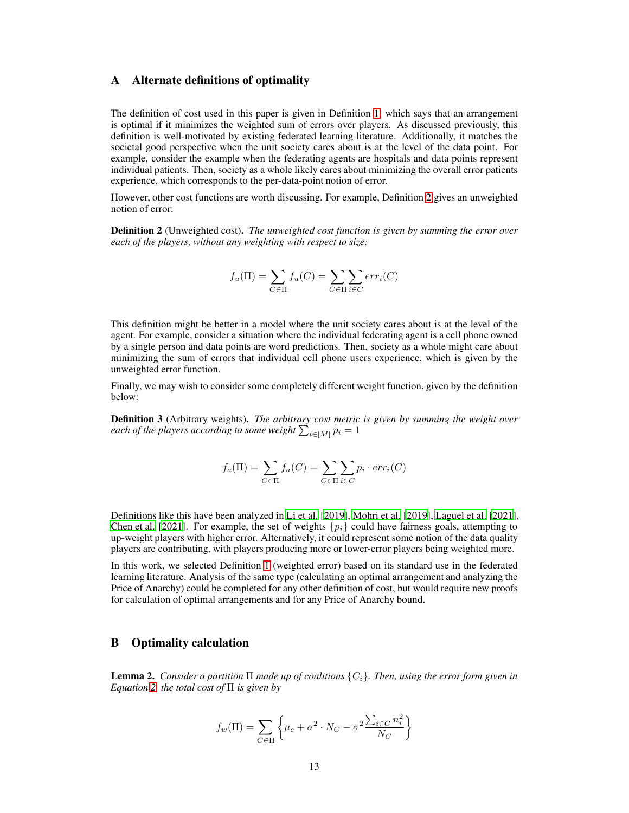#### <span id="page-12-0"></span>A Alternate definitions of optimality

The definition of cost used in this paper is given in Definition [1,](#page-4-4) which says that an arrangement is optimal if it minimizes the weighted sum of errors over players. As discussed previously, this definition is well-motivated by existing federated learning literature. Additionally, it matches the societal good perspective when the unit society cares about is at the level of the data point. For example, consider the example when the federating agents are hospitals and data points represent individual patients. Then, society as a whole likely cares about minimizing the overall error patients experience, which corresponds to the per-data-point notion of error.

However, other cost functions are worth discussing. For example, Definition [2](#page-12-2) gives an unweighted notion of error:

<span id="page-12-2"></span>Definition 2 (Unweighted cost). *The unweighted cost function is given by summing the error over each of the players, without any weighting with respect to size:*

$$
f_u(\Pi) = \sum_{C \in \Pi} f_u(C) = \sum_{C \in \Pi} \sum_{i \in C} err_i(C)
$$

This definition might be better in a model where the unit society cares about is at the level of the agent. For example, consider a situation where the individual federating agent is a cell phone owned by a single person and data points are word predictions. Then, society as a whole might care about minimizing the sum of errors that individual cell phone users experience, which is given by the unweighted error function.

Finally, we may wish to consider some completely different weight function, given by the definition below:

Definition 3 (Arbitrary weights). *The arbitrary cost metric is given by summing the weight over* each of the players according to some weight  $\sum_{i \in [M]} p_i = 1$ 

$$
f_a(\Pi) = \sum_{C \in \Pi} f_a(C) = \sum_{C \in \Pi} \sum_{i \in C} p_i \cdot err_i(C)
$$

Definitions like this have been analyzed in [Li et al. \[2019\]](#page-10-4), [Mohri et al. \[2019](#page-10-5)], [Laguel et al.](#page-10-15) [\[2021\]](#page-10-15), [Chen et al.](#page-9-11) [\[2021\]](#page-9-11). For example, the set of weights  $\{p_i\}$  could have fairness goals, attempting to up-weight players with higher error. Alternatively, it could represent some notion of the data quality players are contributing, with players producing more or lower-error players being weighted more.

In this work, we selected Definition [1](#page-4-4) (weighted error) based on its standard use in the federated learning literature. Analysis of the same type (calculating an optimal arrangement and analyzing the Price of Anarchy) could be completed for any other definition of cost, but would require new proofs for calculation of optimal arrangements and for any Price of Anarchy bound.

# <span id="page-12-1"></span>B Optimality calculation

Lemma 2. *Consider a partition* Π *made up of coalitions* {Ci}*. Then, using the error form given in Equation [2,](#page-3-1) the total cost of* Π *is given by*

$$
f_w(\Pi) = \sum_{C \in \Pi} \left\{ \mu_e + \sigma^2 \cdot N_C - \sigma^2 \frac{\sum_{i \in C} n_i^2}{N_C} \right\}
$$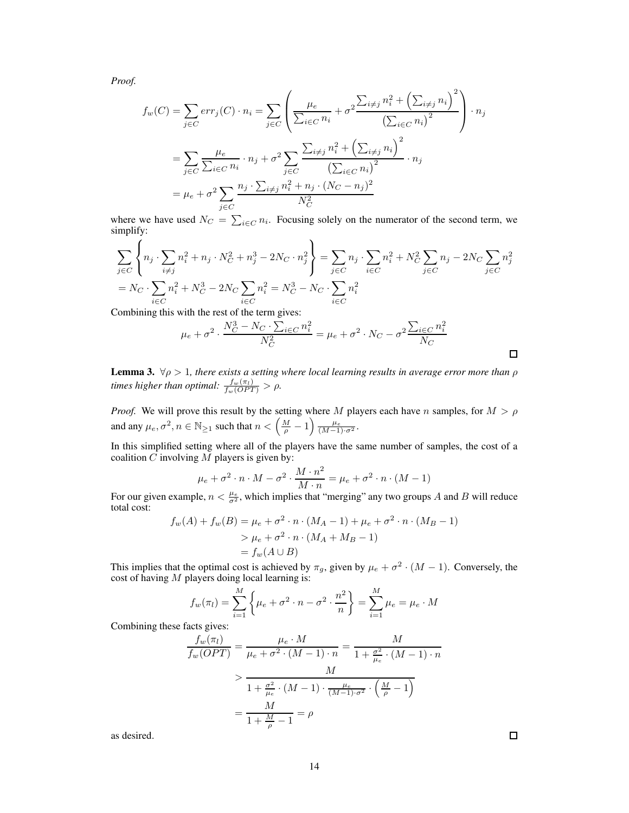*Proof.*

$$
f_w(C) = \sum_{j \in C} err_j(C) \cdot n_i = \sum_{j \in C} \left( \frac{\mu_e}{\sum_{i \in C} n_i} + \sigma^2 \frac{\sum_{i \neq j} n_i^2 + \left(\sum_{i \neq j} n_i\right)^2}{\left(\sum_{i \in C} n_i\right)^2} \right) \cdot n_j
$$
  
= 
$$
\sum_{j \in C} \frac{\mu_e}{\sum_{i \in C} n_i} \cdot n_j + \sigma^2 \sum_{j \in C} \frac{\sum_{i \neq j} n_i^2 + \left(\sum_{i \neq j} n_i\right)^2}{\left(\sum_{i \in C} n_i\right)^2} \cdot n_j
$$
  
= 
$$
\mu_e + \sigma^2 \sum_{j \in C} \frac{n_j \cdot \sum_{i \neq j} n_i^2 + n_j \cdot (N_C - n_j)^2}{N_C^2}
$$

where we have used  $N_C = \sum_{i \in C} n_i$ . Focusing solely on the numerator of the second term, we simplify:

$$
\sum_{j \in C} \left\{ n_j \cdot \sum_{i \neq j} n_i^2 + n_j \cdot N_C^2 + n_j^3 - 2N_C \cdot n_j^2 \right\} = \sum_{j \in C} n_j \cdot \sum_{i \in C} n_i^2 + N_C^2 \sum_{j \in C} n_j - 2N_C \sum_{j \in C} n_j^2
$$
  
=  $N_C \cdot \sum_{i \in C} n_i^2 + N_C^3 - 2N_C \sum_{i \in C} n_i^2 = N_C^3 - N_C \cdot \sum_{i \in C} n_i^2$ 

Combining this with the rest of the term gives:

$$
\mu_e + \sigma^2 \cdot \frac{N_C^3 - N_C \cdot \sum_{i \in C} n_i^2}{N_C^2} = \mu_e + \sigma^2 \cdot N_C - \sigma^2 \frac{\sum_{i \in C} n_i^2}{N_C}
$$

**Lemma 3.**  $\forall \rho > 1$ , there exists a setting where local learning results in average error more than  $\rho$ *times higher than optimal:*  $\frac{f_w(\pi_l)}{f_w(OPT)} > \rho$ .

*Proof.* We will prove this result by the setting where M players each have n samples, for  $M > \rho$ and any  $\mu_e, \sigma^2, n \in \mathbb{N}_{\ge 1}$  such that  $n < \left(\frac{M}{\rho} - 1\right) \frac{\mu_e}{(M-1)\cdot \sigma^2}$ .

In this simplified setting where all of the players have the same number of samples, the cost of a coalition  $C$  involving  $M$  players is given by:

$$
\mu_e + \sigma^2 \cdot n \cdot M - \sigma^2 \cdot \frac{M \cdot n^2}{M \cdot n} = \mu_e + \sigma^2 \cdot n \cdot (M - 1)
$$

For our given example,  $n < \frac{\mu_e}{\sigma^2}$ , which implies that "merging" any two groups A and B will reduce total cost:

$$
f_w(A) + f_w(B) = \mu_e + \sigma^2 \cdot n \cdot (M_A - 1) + \mu_e + \sigma^2 \cdot n \cdot (M_B - 1)
$$
  
>  $\mu_e + \sigma^2 \cdot n \cdot (M_A + M_B - 1)$   
=  $f_w(A \cup B)$ 

This implies that the optimal cost is achieved by  $\pi_g$ , given by  $\mu_e + \sigma^2 \cdot (M-1)$ . Conversely, the cost of having  $M$  players doing local learning is:

$$
f_w(\pi_l) = \sum_{i=1}^{M} \left\{ \mu_e + \sigma^2 \cdot n - \sigma^2 \cdot \frac{n^2}{n} \right\} = \sum_{i=1}^{M} \mu_e = \mu_e \cdot M
$$

Combining these facts gives:

$$
\frac{f_w(\pi_l)}{f_w(OPT)} = \frac{\mu_e \cdot M}{\mu_e + \sigma^2 \cdot (M-1) \cdot n} = \frac{M}{1 + \frac{\sigma^2}{\mu_e} \cdot (M-1) \cdot n}
$$
\n
$$
> \frac{M}{1 + \frac{\sigma^2}{\mu_e} \cdot (M-1) \cdot \frac{\mu_e}{(M-1) \cdot \sigma^2} \cdot \left(\frac{M}{\rho} - 1\right)}
$$
\n
$$
= \frac{M}{1 + \frac{M}{\rho} - 1} = \rho
$$

as desired.

 $\Box$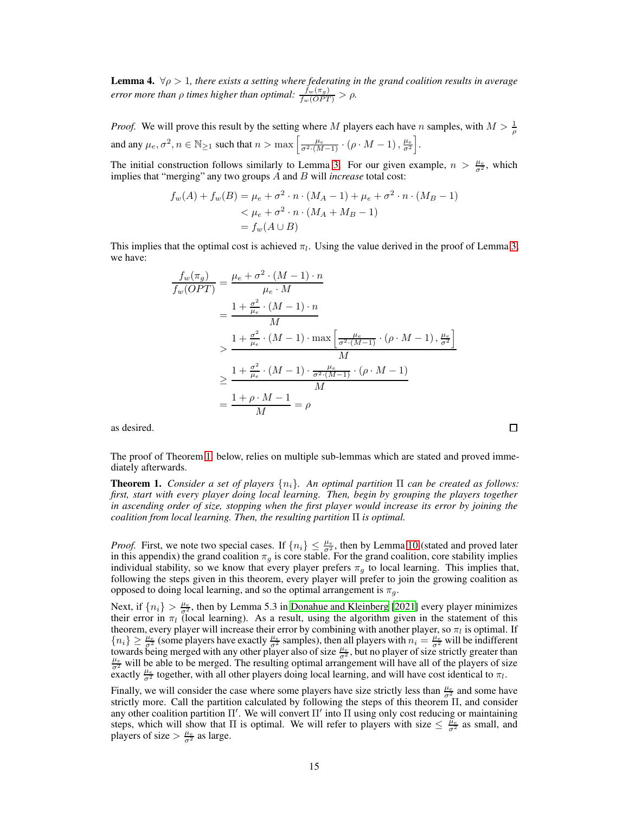**Lemma 4.**  $\forall \rho > 1$ , there exists a setting where federating in the grand coalition results in average *error more than*  $\rho$  *times higher than optimal:*  $\frac{f_w(\pi_g)}{f_w(OPT)} > \rho$ .

*Proof.* We will prove this result by the setting where M players each have n samples, with  $M > \frac{1}{\rho}$ and any  $\mu_e, \sigma^2, n \in \mathbb{N}_{\geq 1}$  such that  $n > \max \left[ \frac{\mu_e}{\sigma^2 \cdot (M-1)} \cdot (\rho \cdot M - 1), \frac{\mu_e}{\sigma^2} \right]$ .

The initial construction follows similarly to Lemma [3.](#page-4-2) For our given example,  $n > \frac{\mu_e}{\sigma^2}$ , which implies that "merging" any two groups A and B will *increase* total cost:

$$
f_w(A) + f_w(B) = \mu_e + \sigma^2 \cdot n \cdot (M_A - 1) + \mu_e + \sigma^2 \cdot n \cdot (M_B - 1)
$$
  
<  $\leq \mu_e + \sigma^2 \cdot n \cdot (M_A + M_B - 1)$   
 $= f_w(A \cup B)$ 

This implies that the optimal cost is achieved  $\pi_l$ . Using the value derived in the proof of Lemma [3,](#page-4-2) we have:

$$
\frac{f_w(\pi_g)}{f_w(OPT)} = \frac{\mu_e + \sigma^2 \cdot (M-1) \cdot n}{\mu_e \cdot M}
$$
\n
$$
= \frac{1 + \frac{\sigma^2}{\mu_e} \cdot (M-1) \cdot n}{M}
$$
\n
$$
> \frac{1 + \frac{\sigma^2}{\mu_e} \cdot (M-1) \cdot \max \left[ \frac{\mu_e}{\sigma^2 \cdot (M-1)} \cdot (\rho \cdot M-1), \frac{\mu_e}{\sigma^2} \right]}{M}
$$
\n
$$
\geq \frac{1 + \frac{\sigma^2}{\mu_e} \cdot (M-1) \cdot \frac{\mu_e}{\sigma^2 \cdot (M-1)} \cdot (\rho \cdot M-1)}{M}
$$
\n
$$
= \frac{1 + \rho \cdot M - 1}{M} = \rho
$$

as desired.

The proof of Theorem [1,](#page-5-0) below, relies on multiple sub-lemmas which are stated and proved immediately afterwards.

**Theorem 1.** *Consider a set of players*  $\{n_i\}$ *. An optimal partition*  $\Pi$  *can be created as follows: first, start with every player doing local learning. Then, begin by grouping the players together in ascending order of size, stopping when the first player would increase its error by joining the coalition from local learning. Then, the resulting partition* Π *is optimal.*

*Proof.* First, we note two special cases. If  $\{n_i\} \leq \frac{\mu_e}{\sigma^2}$ , then by Lemma [10](#page-7-0) (stated and proved later in this appendix) the grand coalition  $\pi_g$  is core stable. For the grand coalition, core stability implies individual stability, so we know that every player prefers  $\pi<sub>g</sub>$  to local learning. This implies that, following the steps given in this theorem, every player will prefer to join the growing coalition as opposed to doing local learning, and so the optimal arrangement is  $\pi_q$ .

Next, if  ${n_i} > \frac{\mu_e}{\sigma^2}$ , then by Lemma 5.3 in [Donahue and Kleinberg \[2021\]](#page-9-1) every player minimizes their error in  $\pi_l$  (local learning). As a result, using the algorithm given in the statement of this theorem, every player will increase their error by combining with another player, so  $\pi_l$  is optimal. If  ${n_i} \geq \frac{\mu_e}{\sigma^2}$  (some players have exactly  $\frac{\mu_e}{\sigma^2}$  samples), then all players with  $n_i = \frac{\mu_e}{\sigma^2}$  will be indifferent towards being merged with any other player also of size  $\frac{\mu_e}{\sigma^2}$ , but no player of size strictly greater than  $\frac{\mu_e}{\sigma^2}$  will be able to be merged. The resulting optimal arrangement will have all of the players of exactly  $\frac{\mu_e}{\sigma^2}$  together, with all other players doing local learning, and will have cost identical to  $\pi_l$ .

Finally, we will consider the case where some players have size strictly less than  $\frac{\mu_e}{\sigma^2}$  and some have strictly more. Call the partition calculated by following the steps of this theorem Π, and consider any other coalition partition  $\Pi'$ . We will convert  $\Pi'$  into  $\Pi$  using only cost reducing or maintaining steps, which will show that  $\Pi$  is optimal. We will refer to players with size  $\leq \frac{\mu_e}{\sigma^2}$  as small, and players of size  $> \frac{\mu_e}{\sigma^2}$  as large.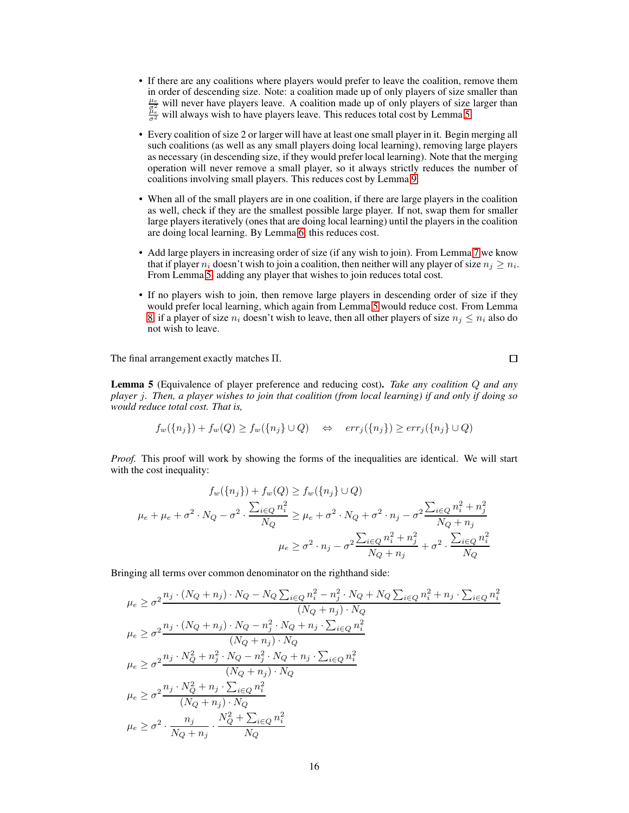- If there are any coalitions where players would prefer to leave the coalition, remove them in order of descending size. Note: a coalition made up of only players of size smaller than  $\frac{\mu_e}{\sigma^2}$  will never have players leave. A coalition made up of only players of size larger than  $\frac{\mu_e}{\sigma^2}$  will always wish to have players leave. This reduces total cost by Lemma [5.](#page-5-1)
- Every coalition of size 2 or larger will have at least one small player in it. Begin merging all such coalitions (as well as any small players doing local learning), removing large players as necessary (in descending size, if they would prefer local learning). Note that the merging operation will never remove a small player, so it always strictly reduces the number of coalitions involving small players. This reduces cost by Lemma [9.](#page-6-2)
- When all of the small players are in one coalition, if there are large players in the coalition as well, check if they are the smallest possible large player. If not, swap them for smaller large players iteratively (ones that are doing local learning) until the players in the coalition are doing local learning. By Lemma [6,](#page-5-2) this reduces cost.
- Add large players in increasing order of size (if any wish to join). From Lemma [7](#page-5-3) we know that if player  $n_i$  doesn't wish to join a coalition, then neither will any player of size  $n_j \geq n_i$ . From Lemma [5,](#page-5-1) adding any player that wishes to join reduces total cost.
- If no players wish to join, then remove large players in descending order of size if they would prefer local learning, which again from Lemma [5](#page-5-1) would reduce cost. From Lemma [8,](#page-5-4) if a player of size  $n_i$  doesn't wish to leave, then all other players of size  $n_i \leq n_i$  also do not wish to leave.

The final arrangement exactly matches Π.

Lemma 5 (Equivalence of player preference and reducing cost). *Take any coalition* Q *and any player* j*. Then, a player wishes to join that coalition (from local learning) if and only if doing so would reduce total cost. That is,*

$$
f_w(\{n_j\}) + f_w(Q) \ge f_w(\{n_j\} \cup Q) \quad \Leftrightarrow \quad err_j(\{n_j\}) \ge err_j(\{n_j\} \cup Q)
$$

*Proof.* This proof will work by showing the forms of the inequalities are identical. We will start with the cost inequality:

$$
f_w({n_j}) + f_w(Q) \ge f_w({n_j} \cup Q)
$$
  
\n
$$
\mu_e + \mu_e + \sigma^2 \cdot N_Q - \sigma^2 \cdot \frac{\sum_{i \in Q} n_i^2}{N_Q} \ge \mu_e + \sigma^2 \cdot N_Q + \sigma^2 \cdot n_j - \sigma^2 \frac{\sum_{i \in Q} n_i^2 + n_j^2}{N_Q + n_j}
$$
  
\n
$$
\mu_e \ge \sigma^2 \cdot n_j - \sigma^2 \frac{\sum_{i \in Q} n_i^2 + n_j^2}{N_Q + n_j} + \sigma^2 \cdot \frac{\sum_{i \in Q} n_i^2}{N_Q}
$$

Bringing all terms over common denominator on the righthand side:

$$
\mu_e \geq \sigma^2 \frac{n_j \cdot (N_Q + n_j) \cdot N_Q - N_Q \sum_{i \in Q} n_i^2 - n_j^2 \cdot N_Q + N_Q \sum_{i \in Q} n_i^2 + n_j \cdot \sum_{i \in Q} n_i^2}{(N_Q + n_j) \cdot N_Q}
$$
\n
$$
\mu_e \geq \sigma^2 \frac{n_j \cdot (N_Q + n_j) \cdot N_Q - n_j^2 \cdot N_Q + n_j \cdot \sum_{i \in Q} n_i^2}{(N_Q + n_j) \cdot N_Q}
$$
\n
$$
\mu_e \geq \sigma^2 \frac{n_j \cdot N_Q^2 + n_j^2 \cdot N_Q - n_j^2 \cdot N_Q + n_j \cdot \sum_{i \in Q} n_i^2}{(N_Q + n_j) \cdot N_Q}
$$
\n
$$
\mu_e \geq \sigma^2 \frac{n_j \cdot N_Q^2 + n_j \cdot \sum_{i \in Q} n_i^2}{(N_Q + n_j) \cdot N_Q}
$$
\n
$$
\mu_e \geq \sigma^2 \cdot \frac{n_j}{N_Q + n_j} \cdot \frac{N_Q^2 + \sum_{i \in Q} n_i^2}{N_Q}
$$

 $\Box$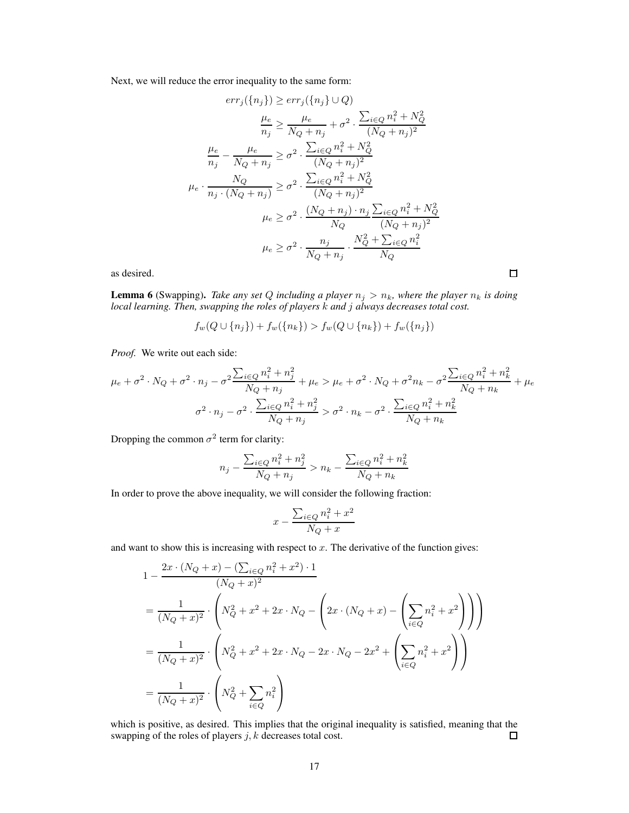Next, we will reduce the error inequality to the same form:

$$
err_j(\lbrace n_j \rbrace) \ge err_j(\lbrace n_j \rbrace \cup Q)
$$
  
\n
$$
\frac{\mu_e}{n_j} \ge \frac{\mu_e}{N_Q + n_j} + \sigma^2 \cdot \frac{\sum_{i \in Q} n_i^2 + N_Q^2}{(N_Q + n_j)^2}
$$
  
\n
$$
\frac{\mu_e}{n_j} - \frac{\mu_e}{N_Q + n_j} \ge \sigma^2 \cdot \frac{\sum_{i \in Q} n_i^2 + N_Q^2}{(N_Q + n_j)^2}
$$
  
\n
$$
\mu_e \cdot \frac{N_Q}{n_j \cdot (N_Q + n_j)} \ge \sigma^2 \cdot \frac{\sum_{i \in Q} n_i^2 + N_Q^2}{(N_Q + n_j)^2}
$$
  
\n
$$
\mu_e \ge \sigma^2 \cdot \frac{(N_Q + n_j) \cdot n_j}{N_Q} \frac{\sum_{i \in Q} n_i^2 + N_Q^2}{(N_Q + n_j)^2}
$$
  
\n
$$
\mu_e \ge \sigma^2 \cdot \frac{n_j}{N_Q + n_j} \cdot \frac{N_Q^2 + \sum_{i \in Q} n_i^2}{N_Q}
$$

 $\Box$ 

as desired.

**Lemma 6** (Swapping). *Take any set* Q *including a player*  $n_j > n_k$ *, where the player*  $n_k$  *is doing local learning. Then, swapping the roles of players* k *and* j *always decreases total cost.*

$$
f_w(Q \cup \{n_j\}) + f_w(\{n_k\}) > f_w(Q \cup \{n_k\}) + f_w(\{n_j\})
$$

*Proof.* We write out each side:

$$
\mu_e + \sigma^2 \cdot N_Q + \sigma^2 \cdot n_j - \sigma^2 \frac{\sum_{i \in Q} n_i^2 + n_j^2}{N_Q + n_j} + \mu_e > \mu_e + \sigma^2 \cdot N_Q + \sigma^2 n_k - \sigma^2 \frac{\sum_{i \in Q} n_i^2 + n_k^2}{N_Q + n_k} + \mu_e
$$

$$
\sigma^2 \cdot n_j - \sigma^2 \cdot \frac{\sum_{i \in Q} n_i^2 + n_j^2}{N_Q + n_j} > \sigma^2 \cdot n_k - \sigma^2 \cdot \frac{\sum_{i \in Q} n_i^2 + n_k^2}{N_Q + n_k}
$$

Dropping the common  $\sigma^2$  term for clarity:

$$
n_j - \frac{\sum_{i \in Q} n_i^2 + n_j^2}{N_Q + n_j} > n_k - \frac{\sum_{i \in Q} n_i^2 + n_k^2}{N_Q + n_k}
$$

In order to prove the above inequality, we will consider the following fraction:

$$
x - \frac{\sum_{i \in Q} n_i^2 + x^2}{N_Q + x}
$$

and want to show this is increasing with respect to  $x$ . The derivative of the function gives:

$$
1 - \frac{2x \cdot (N_Q + x) - (\sum_{i \in Q} n_i^2 + x^2) \cdot 1}{(N_Q + x)^2}
$$
  
= 
$$
\frac{1}{(N_Q + x)^2} \cdot \left( N_Q^2 + x^2 + 2x \cdot N_Q - \left( 2x \cdot (N_Q + x) - \left( \sum_{i \in Q} n_i^2 + x^2 \right) \right) \right)
$$
  
= 
$$
\frac{1}{(N_Q + x)^2} \cdot \left( N_Q^2 + x^2 + 2x \cdot N_Q - 2x \cdot N_Q - 2x^2 + \left( \sum_{i \in Q} n_i^2 + x^2 \right) \right)
$$
  
= 
$$
\frac{1}{(N_Q + x)^2} \cdot \left( N_Q^2 + \sum_{i \in Q} n_i^2 \right)
$$

which is positive, as desired. This implies that the original inequality is satisfied, meaning that the swapping of the roles of players  $j, k$  decreases total cost.  $\Box$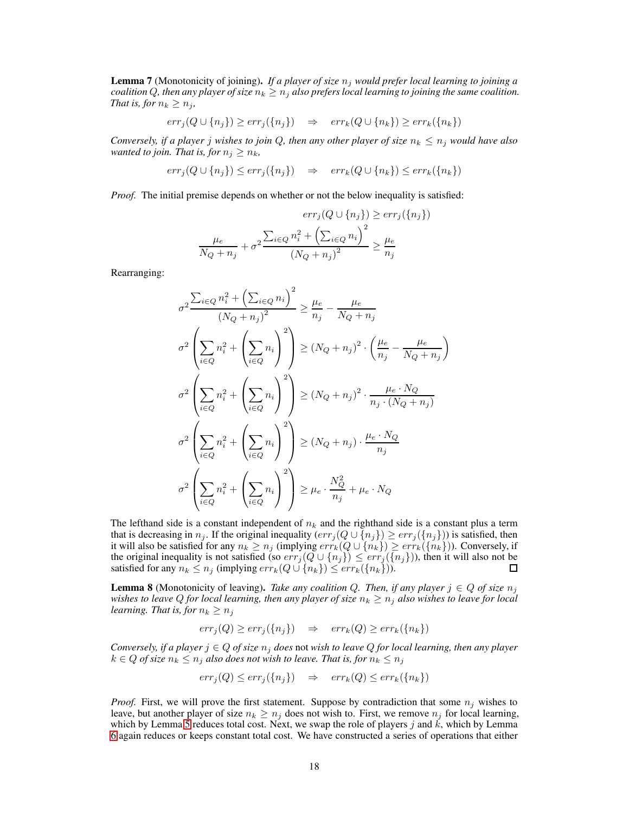Lemma 7 (Monotonicity of joining). *If a player of size*  $n_i$  *would prefer local learning to joining a coalition* Q, then any player of size  $n_k \geq n_j$  also prefers local learning to joining the same coalition. *That is, for*  $n_k \geq n_j$ *,* 

$$
err_j(Q \cup \{n_j\}) \ge err_j(\{n_j\}) \Rightarrow err_k(Q \cup \{n_k\}) \ge err_k(\{n_k\})
$$

*Conversely, if a player j wishes to join*  $Q$ *, then any other player of size*  $n_k \leq n_j$  *would have also wanted to join. That is, for*  $n_j \geq n_k$ ,

$$
err_j(Q \cup \{n_j\}) \le err_j(\{n_j\}) \quad \Rightarrow \quad err_k(Q \cup \{n_k\}) \le err_k(\{n_k\})
$$

*Proof.* The initial premise depends on whether or not the below inequality is satisfied:

$$
err_j(Q \cup \{n_j\}) \ge err_j(\{n_j\})
$$

$$
\frac{\mu_e}{N_Q + n_j} + \sigma^2 \frac{\sum_{i \in Q} n_i^2 + \left(\sum_{i \in Q} n_i\right)^2}{\left(N_Q + n_j\right)^2} \ge \frac{\mu_e}{n_j}
$$

Rearranging:

$$
\sigma^2 \frac{\sum_{i \in Q} n_i^2 + \left(\sum_{i \in Q} n_i\right)^2}{\left(N_Q + n_j\right)^2} \ge \frac{\mu_e}{n_j} - \frac{\mu_e}{N_Q + n_j}
$$
\n
$$
\sigma^2 \left(\sum_{i \in Q} n_i^2 + \left(\sum_{i \in Q} n_i\right)^2\right) \ge \left(N_Q + n_j\right)^2 \cdot \left(\frac{\mu_e}{n_j} - \frac{\mu_e}{N_Q + n_j}\right)
$$
\n
$$
\sigma^2 \left(\sum_{i \in Q} n_i^2 + \left(\sum_{i \in Q} n_i\right)^2\right) \ge \left(N_Q + n_j\right)^2 \cdot \frac{\mu_e \cdot N_Q}{n_j \cdot (N_Q + n_j)}
$$
\n
$$
\sigma^2 \left(\sum_{i \in Q} n_i^2 + \left(\sum_{i \in Q} n_i\right)^2\right) \ge \left(N_Q + n_j\right) \cdot \frac{\mu_e \cdot N_Q}{n_j}
$$
\n
$$
\sigma^2 \left(\sum_{i \in Q} n_i^2 + \left(\sum_{i \in Q} n_i\right)^2\right) \ge \mu_e \cdot \frac{N_Q^2}{n_j} + \mu_e \cdot N_Q
$$

The lefthand side is a constant independent of  $n_k$  and the righthand side is a constant plus a term that is decreasing in  $n_j$ . If the original inequality  $(err_j (Q \cup \{n_j\}) \geq err_j (\{n_j\}))$  is satisfied, then it will also be satisfied for any  $n_k \ge n_j$  (implying  $err_k(Q \cup \{n_k\}) \ge err_k(\{n_k\})$ ). Conversely, if the original inequality is not satisfied (so  $err_j(Q \cup \{n_j\}) \leq err_j(\{n_j\})$ ), then it will also not be satisfied for any  $n_k \leq n_j$  (implying  $err_k(Q \cup \{n_k\}) \leq err_k(\{n_k\})$ ).

**Lemma 8** (Monotonicity of leaving). *Take any coalition* Q. *Then, if any player*  $j \in Q$  *of size*  $n_j$ *wishes to leave Q for local learning, then any player of size*  $n_k \geq n_j$  *also wishes to leave for local learning. That is, for*  $n_k \geq n_j$ 

$$
err_j(Q) \ge err_j(\{n_j\}) \quad \Rightarrow \quad err_k(Q) \ge err_k(\{n_k\})
$$

*Conversely, if a player*  $j \in Q$  *of size*  $n_j$  *does* not *wish to leave*  $Q$  *for local learning, then any player*  $k \in Q$  *of size*  $n_k \leq n_j$  *also does not wish to leave. That is, for*  $n_k \leq n_j$ 

$$
err_j(Q) \le err_j(\{n_j\}) \quad \Rightarrow \quad err_k(Q) \le err_k(\{n_k\})
$$

*Proof.* First, we will prove the first statement. Suppose by contradiction that some  $n_j$  wishes to leave, but another player of size  $n_k \geq n_j$  does not wish to. First, we remove  $n_j$  for local learning, which by Lemma [5](#page-5-1) reduces total cost. Next, we swap the role of players j and  $\vec{k}$ , which by Lemma [6](#page-5-2) again reduces or keeps constant total cost. We have constructed a series of operations that either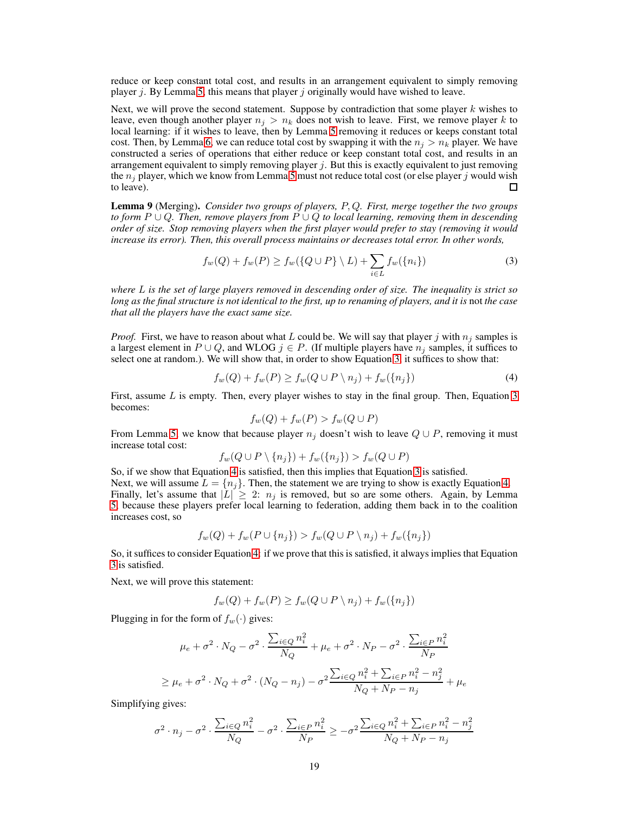reduce or keep constant total cost, and results in an arrangement equivalent to simply removing player *i*. By Lemma [5,](#page-5-1) this means that player *i* originally would have wished to leave.

Next, we will prove the second statement. Suppose by contradiction that some player  $k$  wishes to leave, even though another player  $n_i > n_k$  does not wish to leave. First, we remove player k to local learning: if it wishes to leave, then by Lemma [5](#page-5-1) removing it reduces or keeps constant total cost. Then, by Lemma [6,](#page-5-2) we can reduce total cost by swapping it with the  $n_j > n_k$  player. We have constructed a series of operations that either reduce or keep constant total cost, and results in an arrangement equivalent to simply removing player  $j$ . But this is exactly equivalent to just removing the  $n_i$  player, which we know from Lemma [5](#page-5-1) must not reduce total cost (or else player j would wish to leave).

Lemma 9 (Merging). *Consider two groups of players,* P, Q*. First, merge together the two groups to form* P ∪ Q*. Then, remove players from* P ∪ Q *to local learning, removing them in descending order of size. Stop removing players when the first player would prefer to stay (removing it would increase its error). Then, this overall process maintains or decreases total error. In other words,*

$$
f_w(Q) + f_w(P) \ge f_w(\{Q \cup P\} \setminus L) + \sum_{i \in L} f_w(\{n_i\})
$$
\n<sup>(3)</sup>

*where* L *is the set of large players removed in descending order of size. The inequality is strict so long as the final structure is not identical to the first, up to renaming of players, and it is* not *the case that all the players have the exact same size.*

*Proof.* First, we have to reason about what L could be. We will say that player j with  $n_j$  samples is a largest element in  $P \cup Q$ , and WLOG  $j \in P$ . (If multiple players have  $n_j$  samples, it suffices to select one at random.). We will show that, in order to show Equation [3,](#page-6-3) it suffices to show that:

$$
f_w(Q) + f_w(P) \ge f_w(Q \cup P \setminus n_j) + f_w(\{n_j\})
$$
\n<sup>(4)</sup>

First, assume  $L$  is empty. Then, every player wishes to stay in the final group. Then, Equation  $3$ becomes:

<span id="page-18-0"></span>
$$
f_w(Q) + f_w(P) > f_w(Q \cup P)
$$

From Lemma [5,](#page-5-1) we know that because player  $n_j$  doesn't wish to leave  $Q \cup P$ , removing it must increase total cost:

$$
f_w(Q \cup P \setminus \{n_j\}) + f_w(\{n_j\}) > f_w(Q \cup P)
$$

So, if we show that Equation [4](#page-18-0) is satisfied, then this implies that Equation [3](#page-6-3) is satisfied. Next, we will assume  $L = \{n_j\}$ . Then, the statement we are trying to show is exactly Equation [4.](#page-18-0) Finally, let's assume that  $|L| \geq 2$ :  $n_j$  is removed, but so are some others. Again, by Lemma [5,](#page-5-1) because these players prefer local learning to federation, adding them back in to the coalition increases cost, so

$$
f_w(Q) + f_w(P \cup \{n_j\}) > f_w(Q \cup P \setminus n_j) + f_w(\{n_j\})
$$

So, it suffices to consider Equation [4:](#page-18-0) if we prove that this is satisfied, it always implies that Equation [3](#page-6-3) is satisfied.

Next, we will prove this statement:

$$
f_w(Q) + f_w(P) \ge f_w(Q \cup P \setminus n_j) + f_w(\{n_j\})
$$

Plugging in for the form of  $f_w(\cdot)$  gives:

$$
\mu_e + \sigma^2 \cdot N_Q - \sigma^2 \cdot \frac{\sum_{i \in Q} n_i^2}{N_Q} + \mu_e + \sigma^2 \cdot N_P - \sigma^2 \cdot \frac{\sum_{i \in P} n_i^2}{N_P}
$$
  

$$
\ge \mu_e + \sigma^2 \cdot N_Q + \sigma^2 \cdot (N_Q - n_j) - \sigma^2 \frac{\sum_{i \in Q} n_i^2 + \sum_{i \in P} n_i^2 - n_j^2}{N_Q + N_P - n_j} + \mu_e
$$

Simplifying gives:

$$
\sigma^2 \cdot n_j - \sigma^2 \cdot \frac{\sum_{i \in Q} n_i^2}{N_Q} - \sigma^2 \cdot \frac{\sum_{i \in P} n_i^2}{N_P} \ge -\sigma^2 \frac{\sum_{i \in Q} n_i^2 + \sum_{i \in P} n_i^2 - n_j^2}{N_Q + N_P - n_j}
$$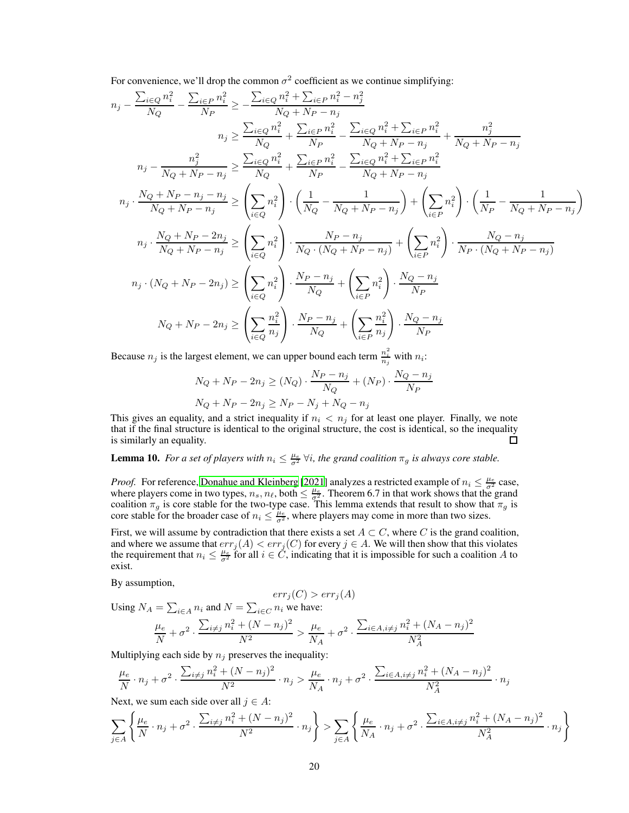For convenience, we'll drop the common  $\sigma^2$  coefficient as we continue simplifying:

$$
n_{j} - \frac{\sum_{i \in Q} n_{i}^{2}}{N_{Q}} - \frac{\sum_{i \in P} n_{i}^{2}}{N_{P}} \geq -\frac{\sum_{i \in Q} n_{i}^{2} + \sum_{i \in P} n_{i}^{2} - n_{j}^{2}}{N_{Q} + N_{P} - n_{j}} n_{j} \geq \frac{\sum_{i \in Q} n_{i}^{2}}{N_{Q} + N_{P} - n_{j}} + \frac{\sum_{i \in P} n_{i}^{2}}{N_{Q} + N_{P} - n_{j}} - \frac{\sum_{i \in Q} n_{i}^{2} + \sum_{i \in P} n_{i}^{2}}{N_{Q} + N_{P} - n_{j}} + \frac{n_{j}^{2}}{N_{Q} + N_{P} - n_{j}} n_{j} - \frac{n_{j}^{2}}{N_{Q} + N_{P} - n_{j}} \geq \frac{\sum_{i \in Q} n_{i}^{2}}{N_{Q}} + \frac{\sum_{i \in P} n_{i}^{2}}{N_{P}} - \frac{\sum_{i \in Q} n_{i}^{2} + \sum_{i \in P} n_{i}^{2}}{N_{Q} + N_{P} - n_{j}} n_{j} \cdot \frac{N_{Q} + N_{P} - n_{j} - n_{j}}{N_{Q} + N_{P} - n_{j}} \geq \left(\sum_{i \in Q} n_{i}^{2}\right) \cdot \left(\frac{1}{N_{Q}} - \frac{1}{N_{Q} + N_{P} - n_{j}}\right) + \left(\sum_{i \in P} n_{i}^{2}\right) \cdot \left(\frac{1}{N_{P}} - \frac{1}{N_{Q} + N_{P} - n_{j}}\right) n_{j} \cdot \frac{N_{Q} + N_{P} - 2n_{j}}{N_{Q} + N_{P} - n_{j}} \geq \left(\sum_{i \in Q} n_{i}^{2}\right) \cdot \frac{N_{P} - n_{j}}{N_{Q} \cdot (N_{Q} + N_{P} - n_{j})} + \left(\sum_{i \in P} n_{i}^{2}\right) \cdot \frac{N_{Q} - n_{j}}{N_{P} \cdot (N_{Q} + N_{P} - n_{j})} n_{j} \cdot (N_{Q} + N_{P} - 2n_{j}) \geq \left(\sum_{i \in Q} n_{i}^{2}\right) \cdot \frac
$$

Because  $n_j$  is the largest element, we can upper bound each term  $\frac{n_i^2}{n_j}$  with  $n_i$ :

$$
N_Q + N_P - 2n_j \ge (N_Q) \cdot \frac{N_P - n_j}{N_Q} + (N_P) \cdot \frac{N_Q - n_j}{N_P}
$$
  

$$
N_Q + N_P - 2n_j \ge N_P - N_j + N_Q - n_j
$$

This gives an equality, and a strict inequality if  $n_i < n_j$  for at least one player. Finally, we note that if the final structure is identical to the original structure, the cost is identical, so the inequality is similarly an equality.  $\Box$ 

# **Lemma 10.** For a set of players with  $n_i \leq \frac{\mu_e}{\sigma^2} \forall i$ , the grand coalition  $\pi_g$  is always core stable.

*Proof.* For reference, [Donahue and Kleinberg](#page-9-1) [\[2021\]](#page-9-1) analyzes a restricted example of  $n_i \leq \frac{\mu_e}{\sigma^2}$  case, where players come in two types,  $n_s$ ,  $n_\ell$ , both  $\leq \frac{\mu_e}{\sigma_s^2}$ . Theorem 6.7 in that work shows that the grand coalition  $\pi_g$  is core stable for the two-type case. This lemma extends that result to show that  $\pi_g$  is core stable for the broader case of  $n_i \leq \frac{\mu_e}{\sigma^2}$ , where players may come in more than two sizes.

First, we will assume by contradiction that there exists a set  $A \subset C$ , where C is the grand coalition, and where we assume that  $err_j(A) < err_j(C)$  for every  $j \in A$ . We will then show that this violates the requirement that  $n_i \leq \frac{\mu_e}{\sigma^2}$  for all  $i \in \check{C}$ , indicating that it is impossible for such a coalition A to exist.

By assumption,

$$
err_j(C) > err_j(A)
$$
  
Using  $N_A = \sum_{i \in A} n_i$  and  $N = \sum_{i \in C} n_i$  we have:  

$$
\frac{\mu_e}{N} + \sigma^2 \cdot \frac{\sum_{i \neq j} n_i^2 + (N - n_j)^2}{N^2} > \frac{\mu_e}{N_A} + \sigma^2 \cdot \frac{\sum_{i \in A, i \neq j} n_i^2 + (N_A - n_j)^2}{N_A^2}
$$

Multiplying each side by  $n_j$  preserves the inequality:

$$
\frac{\mu_e}{N} \cdot n_j + \sigma^2 \cdot \frac{\sum_{i \neq j} n_i^2 + (N - n_j)^2}{N^2} \cdot n_j > \frac{\mu_e}{N_A} \cdot n_j + \sigma^2 \cdot \frac{\sum_{i \in A, i \neq j} n_i^2 + (N_A - n_j)^2}{N_A^2} \cdot n_j
$$

Next, we sum each side over all  $j \in A$ :

$$
\sum_{j\in A}\left\{\frac{\mu_e}{N}\cdot n_j + \sigma^2\cdot \frac{\sum_{i\neq j}n_i^2 + (N-n_j)^2}{N^2}\cdot n_j\right\} > \sum_{j\in A}\left\{\frac{\mu_e}{N_A}\cdot n_j + \sigma^2\cdot \frac{\sum_{i\in A, i\neq j}n_i^2 + (N_A - n_j)^2}{N_A^2}\cdot n_j\right\}
$$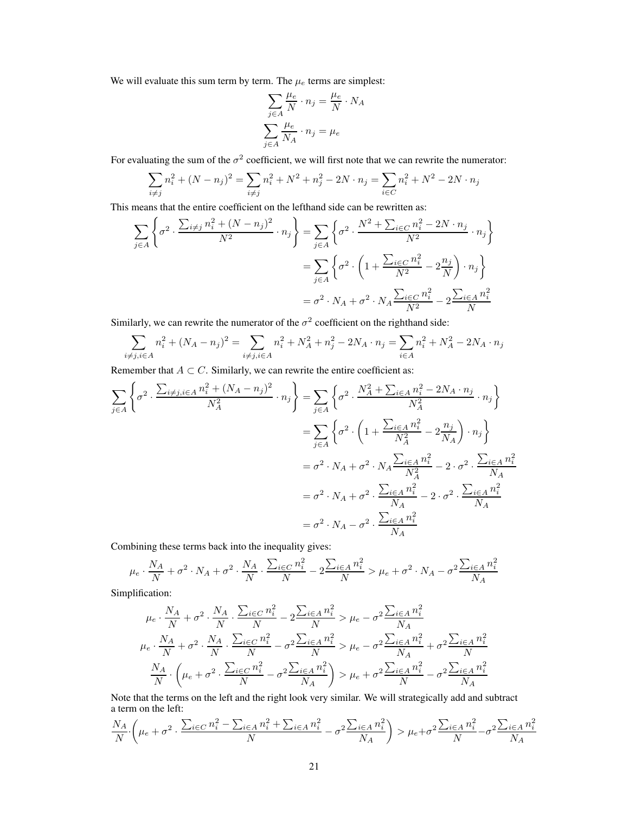We will evaluate this sum term by term. The  $\mu_e$  terms are simplest:

$$
\sum_{j \in A} \frac{\mu_e}{N} \cdot n_j = \frac{\mu_e}{N} \cdot N_A
$$

$$
\sum_{j \in A} \frac{\mu_e}{N_A} \cdot n_j = \mu_e
$$

For evaluating the sum of the  $\sigma^2$  coefficient, we will first note that we can rewrite the numerator:

$$
\sum_{i \neq j} n_i^2 + (N - n_j)^2 = \sum_{i \neq j} n_i^2 + N^2 + n_j^2 - 2N \cdot n_j = \sum_{i \in C} n_i^2 + N^2 - 2N \cdot n_j
$$

This means that the entire coefficient on the lefthand side can be rewritten as:

$$
\sum_{j \in A} \left\{ \sigma^2 \cdot \frac{\sum_{i \neq j} n_i^2 + (N - n_j)^2}{N^2} \cdot n_j \right\} = \sum_{j \in A} \left\{ \sigma^2 \cdot \frac{N^2 + \sum_{i \in C} n_i^2 - 2N \cdot n_j}{N^2} \cdot n_j \right\}
$$

$$
= \sum_{j \in A} \left\{ \sigma^2 \cdot \left( 1 + \frac{\sum_{i \in C} n_i^2}{N^2} - 2\frac{n_j}{N} \right) \cdot n_j \right\}
$$

$$
= \sigma^2 \cdot N_A + \sigma^2 \cdot N_A \frac{\sum_{i \in C} n_i^2}{N^2} - 2\frac{\sum_{i \in A} n_i^2}{N}
$$

Similarly, we can rewrite the numerator of the  $\sigma^2$  coefficient on the righthand side:

$$
\sum_{i \neq j, i \in A} n_i^2 + (N_A - n_j)^2 = \sum_{i \neq j, i \in A} n_i^2 + N_A^2 + n_j^2 - 2N_A \cdot n_j = \sum_{i \in A} n_i^2 + N_A^2 - 2N_A \cdot n_j
$$

Remember that  $A \subset C$ . Similarly, we can rewrite the entire coefficient as:

$$
\sum_{j \in A} \left\{ \sigma^{2} \cdot \frac{\sum_{i \neq j, i \in A} n_{i}^{2} + (N_{A} - n_{j})^{2}}{N_{A}^{2}} \cdot n_{j} \right\} = \sum_{j \in A} \left\{ \sigma^{2} \cdot \frac{N_{A}^{2} + \sum_{i \in A} n_{i}^{2} - 2N_{A} \cdot n_{j}}{N_{A}^{2}} \cdot n_{j} \right\}
$$
\n
$$
= \sum_{j \in A} \left\{ \sigma^{2} \cdot \left( 1 + \frac{\sum_{i \in A} n_{i}^{2}}{N_{A}^{2}} - 2 \frac{n_{j}}{N_{A}} \right) \cdot n_{j} \right\}
$$
\n
$$
= \sigma^{2} \cdot N_{A} + \sigma^{2} \cdot N_{A} \frac{\sum_{i \in A} n_{i}^{2}}{N_{A}^{2}} - 2 \cdot \sigma^{2} \cdot \frac{\sum_{i \in A} n_{i}^{2}}{N_{A}}
$$
\n
$$
= \sigma^{2} \cdot N_{A} + \sigma^{2} \cdot \frac{\sum_{i \in A} n_{i}^{2}}{N_{A}} - 2 \cdot \sigma^{2} \cdot \frac{\sum_{i \in A} n_{i}^{2}}{N_{A}}
$$
\n
$$
= \sigma^{2} \cdot N_{A} - \sigma^{2} \cdot \frac{\sum_{i \in A} n_{i}^{2}}{N_{A}}
$$

Combining these terms back into the inequality gives:

$$
\mu_e \cdot \frac{N_A}{N} + \sigma^2 \cdot N_A + \sigma^2 \cdot \frac{N_A}{N} \cdot \frac{\sum_{i \in C} n_i^2}{N} - 2 \frac{\sum_{i \in A} n_i^2}{N} > \mu_e + \sigma^2 \cdot N_A - \sigma^2 \frac{\sum_{i \in A} n_i^2}{N_A}
$$

Simplification:

$$
\mu_{e} \cdot \frac{N_{A}}{N} + \sigma^{2} \cdot \frac{N_{A}}{N} \cdot \frac{\sum_{i \in C} n_{i}^{2}}{N} - 2 \frac{\sum_{i \in A} n_{i}^{2}}{N} > \mu_{e} - \sigma^{2} \frac{\sum_{i \in A} n_{i}^{2}}{N_{A}}
$$
\n
$$
\mu_{e} \cdot \frac{N_{A}}{N} + \sigma^{2} \cdot \frac{N_{A}}{N} \cdot \frac{\sum_{i \in C} n_{i}^{2}}{N} - \sigma^{2} \frac{\sum_{i \in A} n_{i}^{2}}{N} > \mu_{e} - \sigma^{2} \frac{\sum_{i \in A} n_{i}^{2}}{N_{A}} + \sigma^{2} \frac{\sum_{i \in A} n_{i}^{2}}{N}
$$
\n
$$
\frac{N_{A}}{N} \cdot \left(\mu_{e} + \sigma^{2} \cdot \frac{\sum_{i \in C} n_{i}^{2}}{N} - \sigma^{2} \frac{\sum_{i \in A} n_{i}^{2}}{N_{A}}\right) > \mu_{e} + \sigma^{2} \frac{\sum_{i \in A} n_{i}^{2}}{N} - \sigma^{2} \frac{\sum_{i \in A} n_{i}^{2}}{N_{A}}
$$

Note that the terms on the left and the right look very similar. We will strategically add and subtract a term on the left:

$$
\frac{N_A}{N}\cdot \left(\mu_e+\sigma^2\cdot \frac{\sum_{i\in C}n_i^2-\sum_{i\in A}n_i^2+\sum_{i\in A}n_i^2}{N}-\sigma^2\frac{\sum_{i\in A}n_i^2}{N_A}\right)>\mu_e+\sigma^2\frac{\sum_{i\in A}n_i^2}{N}-\sigma^2\frac{\sum_{i\in A}n_i^2}{N_A}
$$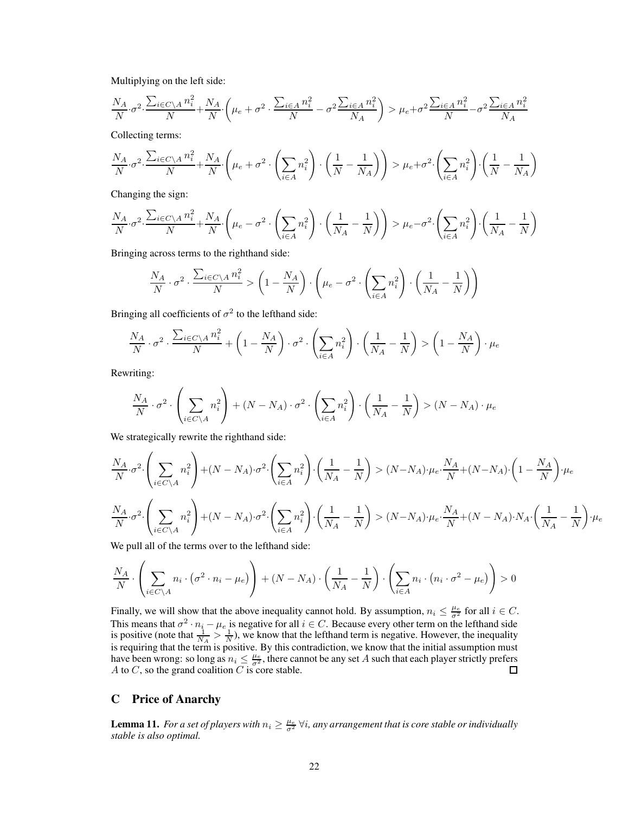Multiplying on the left side:

$$
\frac{N_A}{N} \cdot \sigma^2 \cdot \frac{\sum_{i \in C \setminus A} n_i^2}{N} + \frac{N_A}{N} \cdot \left(\mu_e + \sigma^2 \cdot \frac{\sum_{i \in A} n_i^2}{N} - \sigma^2 \frac{\sum_{i \in A} n_i^2}{N_A}\right) > \mu_e + \sigma^2 \frac{\sum_{i \in A} n_i^2}{N} - \sigma^2 \frac{\sum_{i \in A} n_i^2}{N_A}
$$

Collecting terms:

$$
\frac{N_A}{N}\cdot \sigma^2 \cdot \frac{\sum_{i\in C\backslash A}n_i^2}{N} + \frac{N_A}{N}\cdot \left(\mu_e + \sigma^2\cdot \left(\sum_{i\in A}n_i^2\right)\cdot \left(\frac{1}{N}-\frac{1}{N_A}\right)\right) > \mu_e + \sigma^2\cdot \left(\sum_{i\in A}n_i^2\right)\cdot \left(\frac{1}{N}-\frac{1}{N_A}\right)
$$

Changing the sign:

$$
\frac{N_A}{N}\cdot \sigma^2 \cdot \frac{\sum_{i\in C\backslash A}n_i^2}{N} + \frac{N_A}{N}\cdot \left(\mu_e - \sigma^2\cdot \left(\sum_{i\in A}n_i^2\right)\cdot \left(\frac{1}{N_A}-\frac{1}{N}\right)\right) > \mu_e - \sigma^2\cdot \left(\sum_{i\in A}n_i^2\right)\cdot \left(\frac{1}{N_A}-\frac{1}{N}\right)
$$

Bringing across terms to the righthand side:

$$
\frac{N_A}{N} \cdot \sigma^2 \cdot \frac{\sum_{i \in C \setminus A} n_i^2}{N} > \left(1 - \frac{N_A}{N}\right) \cdot \left(\mu_e - \sigma^2 \cdot \left(\sum_{i \in A} n_i^2\right) \cdot \left(\frac{1}{N_A} - \frac{1}{N}\right)\right)
$$

Bringing all coefficients of  $\sigma^2$  to the lefthand side:

$$
\frac{N_A}{N} \cdot \sigma^2 \cdot \frac{\sum_{i \in C \setminus A} n_i^2}{N} + \left(1 - \frac{N_A}{N}\right) \cdot \sigma^2 \cdot \left(\sum_{i \in A} n_i^2\right) \cdot \left(\frac{1}{N_A} - \frac{1}{N}\right) > \left(1 - \frac{N_A}{N}\right) \cdot \mu_e
$$

Rewriting:

$$
\frac{N_A}{N} \cdot \sigma^2 \cdot \left(\sum_{i \in C \setminus A} n_i^2\right) + (N - N_A) \cdot \sigma^2 \cdot \left(\sum_{i \in A} n_i^2\right) \cdot \left(\frac{1}{N_A} - \frac{1}{N}\right) > (N - N_A) \cdot \mu_e
$$

We strategically rewrite the righthand side:

$$
\frac{N_A}{N} \cdot \sigma^2 \cdot \left(\sum_{i \in C \backslash A} n_i^2\right) + (N - N_A) \cdot \sigma^2 \cdot \left(\sum_{i \in A} n_i^2\right) \cdot \left(\frac{1}{N_A} - \frac{1}{N}\right) > (N - N_A) \cdot \mu_e \cdot \frac{N_A}{N} + (N - N_A) \cdot \left(1 - \frac{N_A}{N}\right) \cdot \mu_e
$$
\n
$$
\frac{N_A}{N} \cdot \sigma^2 \cdot \left(\sum_{i \in C \backslash A} n_i^2\right) + (N - N_A) \cdot \sigma^2 \cdot \left(\sum_{i \in A} n_i^2\right) \cdot \left(\frac{1}{N_A} - \frac{1}{N}\right) > (N - N_A) \cdot \mu_e \cdot \frac{N_A}{N} + (N - N_A) \cdot N_A \cdot \left(\frac{1}{N_A} - \frac{1}{N}\right) \cdot \mu_e
$$
\nW. If  $\mu$  is the result of  $\mu$  is the result of  $\mu$  is the result of  $\mu$ .

We pull all of the terms over to the lefthand side:

$$
\frac{N_A}{N} \cdot \left( \sum_{i \in C \setminus A} n_i \cdot (\sigma^2 \cdot n_i - \mu_e) \right) + (N - N_A) \cdot \left( \frac{1}{N_A} - \frac{1}{N} \right) \cdot \left( \sum_{i \in A} n_i \cdot (n_i \cdot \sigma^2 - \mu_e) \right) > 0
$$

Finally, we will show that the above inequality cannot hold. By assumption,  $n_i \leq \frac{\mu_e}{\sigma^2}$  for all  $i \in C$ . This means that  $\sigma^2 \cdot n_i - \mu_e$  is negative for all  $i \in C$ . Because every other term on the lefthand side is positive (note that  $\frac{1}{N_A} > \frac{1}{N}$ ), we know that the lefthand term is negative. However, the inequality is requiring that the term is positive. By this contradiction, we know that the initial assumption must have been wrong: so long as  $n_i \leq \frac{\mu_e}{\sigma^2}$ , there cannot be any set A such that each player strictly prefers A to  $C$ , so the grand coalition  $C$  is core stable.

# <span id="page-21-0"></span>C Price of Anarchy

**Lemma 11.** For a set of players with  $n_i \geq \frac{\mu_e}{\sigma^2} \forall i$ , any arrangement that is core stable or individually *stable is also optimal.*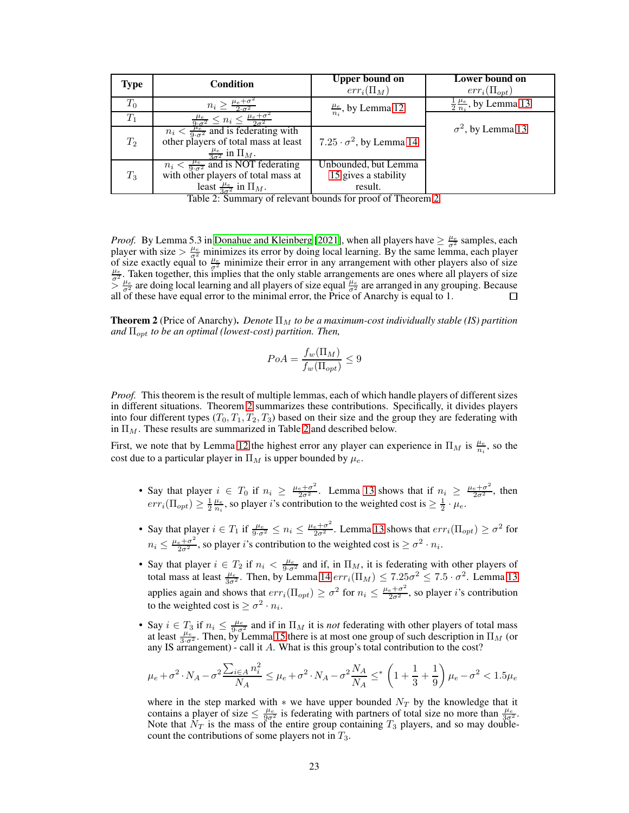| <b>Type</b> | <b>Condition</b>                                                                 | <b>Upper bound on</b><br>$err_i(\Pi_M)$ | Lower bound on<br>$err_i(\Pi_{opt})$          |
|-------------|----------------------------------------------------------------------------------|-----------------------------------------|-----------------------------------------------|
| $T_0$       | $n_i \geq \frac{\mu_e + \sigma^2}{2\sigma^2}$                                    | $\frac{\mu_e}{n_i}$ , by Lemma 12.      | $\frac{1}{2} \frac{\mu_e}{n_i}$ , by Lemma 13 |
| $T_1$       | $\frac{\mu_e}{9\cdot \sigma^2} \leq n_i \leq \frac{\mu_e + \sigma^2}{2\sigma^2}$ |                                         |                                               |
|             | $n_i < \frac{\mu_e}{9 \cdot \sigma^2}$ and is federating with                    |                                         | $\sigma^2$ , by Lemma 13                      |
| $T_2$       | other players of total mass at least                                             | 7.25 $\cdot \sigma^2$ , by Lemma 14     |                                               |
|             | $\frac{\mu_e}{3\sigma^2}$ in $\Pi_M$ .                                           |                                         |                                               |
|             | $n_i < \frac{\mu_e}{9 \cdot \sigma^2}$ and is NOT federating                     | Unbounded, but Lemma                    |                                               |
| $T_3$       | with other players of total mass at                                              | 15 gives a stability                    |                                               |
|             | least $\frac{\mu_e}{3\sigma^2}$ in $\Pi_M$ .                                     | result.                                 |                                               |

<span id="page-22-0"></span>Table 2: Summary of relevant bounds for proof of Theorem [2.](#page-7-2)

*Proof.* By Lemma 5.3 in [Donahue and Kleinberg \[2021\]](#page-9-1), when all players have  $\geq \frac{\mu_e}{\sigma^2}$  samples, each player with size  $>\frac{\mu_e}{\sigma^2}$  minimizes its error by doing local learning. By the same lemma, each player of size exactly equal to  $\frac{\mu_e}{\sigma^2}$  minimize their error in any arrangement with other players also of size  $\frac{\mu_e}{\sigma^2}$ . Taken together, this implies that the only stable arrangements are ones where all players of si  $\frac{\mu_e}{\sigma^2}$  are doing local learning and all players of size equal  $\frac{\mu_e}{\sigma^2}$  are arranged in any grouping. Because all of these have equal error to the minimal error, the Price of Anarchy is equal to 1.

**Theorem 2** (Price of Anarchy). *Denote*  $\Pi_M$  *to be a maximum-cost individually stable (IS) partition and*  $\Pi_{opt}$  *to be an optimal (lowest-cost) partition. Then,* 

$$
PoA = \frac{f_w(\Pi_M)}{f_w(\Pi_{opt})} \le 9
$$

*Proof.* This theorem is the result of multiple lemmas, each of which handle players of different sizes in different situations. Theorem [2](#page-22-0) summarizes these contributions. Specifically, it divides players into four different types  $(T_0, T_1, T_2, T_3)$  based on their size and the group they are federating with in  $\Pi_M$ . These results are summarized in Table [2](#page-22-0) and described below.

First, we note that by Lemma [12](#page-7-3) the highest error any player can experience in  $\Pi_M$  is  $\frac{\mu_e}{n_i}$ , so the cost due to a particular player in  $\Pi_M$  is upper bounded by  $\mu_e$ .

- Say that player  $i \in T_0$  if  $n_i \geq \frac{\mu_e + \sigma^2}{2\sigma^2}$ . Lemma [13](#page-8-0) shows that if  $n_i \geq \frac{\mu_e + \sigma^2}{2\sigma^2}$ , then  $err_i(\Pi_{opt}) \geq \frac{1}{2} \frac{\mu_e}{n_i}$ , so player *i*'s contribution to the weighted cost is  $\geq \frac{1}{2} \cdot \mu_e$ .
- Say that player  $i \in T_1$  if  $\frac{\mu_e}{9 \cdot \sigma^2} \leq n_i \leq \frac{\mu_e + \sigma^2}{2 \sigma^2}$ . Lemma [13](#page-8-0) shows that  $err_i(\Pi_{opt}) \geq \sigma^2$  for  $n_i \leq \frac{\mu_e + \sigma^2}{2\sigma^2}$ , so player *i*'s contribution to the weighted cost is  $\geq \sigma^2 \cdot n_i$ .
- Say that player  $i \in T_2$  if  $n_i < \frac{\mu_e}{9 \cdot \sigma^2}$  and if, in  $\Pi_M$ , it is federating with other players of total mass at least  $\frac{\mu_e}{3\sigma^2}$ . Then, by Lemma [14](#page-8-1)  $err_i(\Pi_M) \leq 7.25\sigma^2 \leq 7.5 \cdot \sigma^2$ . Lemma [13](#page-8-0) applies again and shows that  $err_i(\Pi_{opt}) \ge \sigma^2$  for  $n_i \le \frac{\mu_e + \sigma^2}{2\sigma^2}$ , so player *i*'s contribution to the weighted cost is  $\geq \sigma^2 \cdot n_i$ .
- Say  $i \in T_3$  if  $n_i \leq \frac{\mu_e}{9 \cdot \sigma^2}$  and if in  $\Pi_M$  it is *not* federating with other players of total mass at least  $\frac{\mu_e}{3 \cdot \sigma^2}$ . Then, by Lemma [15](#page-8-2) there is at most one group of such description in  $\Pi_M$  (or any IS arrangement) - call it A. What is this group's total contribution to the cost?

$$
\mu_e + \sigma^2 \cdot N_A - \sigma^2 \frac{\sum_{i \in A} n_i^2}{N_A} \le \mu_e + \sigma^2 \cdot N_A - \sigma^2 \frac{N_A}{N_A} \le^* \left(1 + \frac{1}{3} + \frac{1}{9}\right) \mu_e - \sigma^2 < 1.5\mu_e
$$

where in the step marked with  $*$  we have upper bounded  $N_T$  by the knowledge that it contains a player of size  $\leq \frac{\mu_e}{9\sigma_e^2}$  is federating with partners of total size no more than  $\frac{\mu_e}{3\sigma_e^2}$ . Note that  $N_T$  is the mass of the entire group containing  $T_3$  players, and so may doublecount the contributions of some players not in  $T_3$ .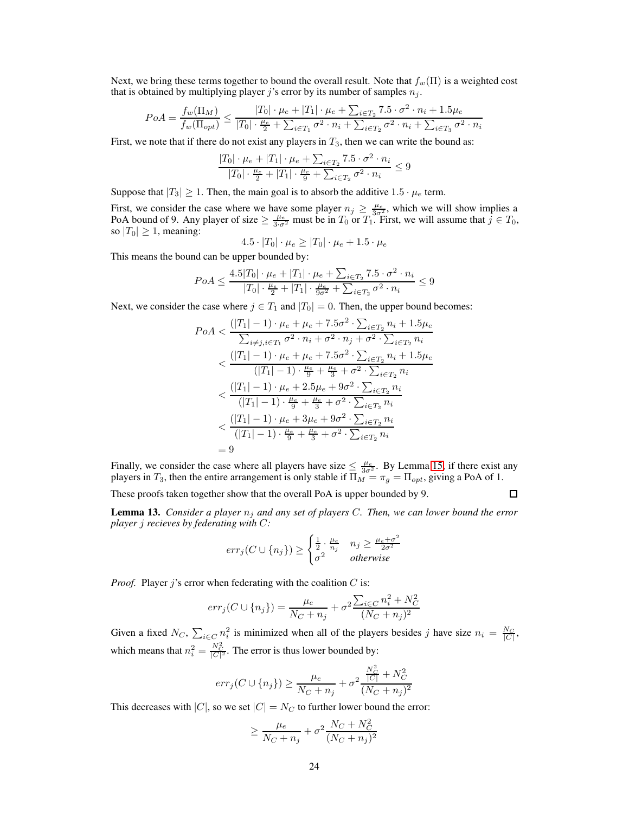Next, we bring these terms together to bound the overall result. Note that  $f_w(\Pi)$  is a weighted cost that is obtained by multiplying player j's error by its number of samples  $n_j$ .

$$
PoA = \frac{f_w(\Pi_M)}{f_w(\Pi_{opt})} \le \frac{|T_0| \cdot \mu_e + |T_1| \cdot \mu_e + \sum_{i \in T_2} 7.5 \cdot \sigma^2 \cdot n_i + 1.5\mu_e}{|T_0| \cdot \frac{\mu_e}{2} + \sum_{i \in T_1} \sigma^2 \cdot n_i + \sum_{i \in T_2} \sigma^2 \cdot n_i + \sum_{i \in T_3} \sigma^2 \cdot n_i}
$$

First, we note that if there do not exist any players in  $T_3$ , then we can write the bound as:

$$
\frac{|T_0| \cdot \mu_e + |T_1| \cdot \mu_e + \sum_{i \in T_2} 7.5 \cdot \sigma^2 \cdot n_i}{|T_0| \cdot \frac{\mu_e}{2} + |T_1| \cdot \frac{\mu_e}{9} + \sum_{i \in T_2} \sigma^2 \cdot n_i} \le 9
$$

Suppose that  $|T_3| \geq 1$ . Then, the main goal is to absorb the additive  $1.5 \cdot \mu_e$  term.

First, we consider the case where we have some player  $n_j \ge \frac{\mu_e}{3\sigma_e^2}$ , which we will show implies a PoA bound of 9. Any player of size  $\geq \frac{\mu_e}{3\sigma^2}$  must be in  $T_0$  or  $T_1$ . First, we will assume that  $j \in T_0$ , so  $|T_0| \geq 1$ , meaning:

$$
4.5 \cdot |T_0| \cdot \mu_e \ge |T_0| \cdot \mu_e + 1.5 \cdot \mu_e
$$

This means the bound can be upper bounded by:

$$
PoA \le \frac{4.5|T_0| \cdot \mu_e + |T_1| \cdot \mu_e + \sum_{i \in T_2} 7.5 \cdot \sigma^2 \cdot n_i}{|T_0| \cdot \frac{\mu_e}{2} + |T_1| \cdot \frac{\mu_e}{9\sigma^2} + \sum_{i \in T_2} \sigma^2 \cdot n_i} \le 9
$$

Next, we consider the case where  $j \in T_1$  and  $|T_0| = 0$ . Then, the upper bound becomes:

$$
PoA < \frac{(|T_1| - 1) \cdot \mu_e + \mu_e + 7.5\sigma^2 \cdot \sum_{i \in T_2} n_i + 1.5\mu_e}{\sum_{i \neq j, i \in T_1} \sigma^2 \cdot n_i + \sigma^2 \cdot n_j + \sigma^2 \cdot \sum_{i \in T_2} n_i} \\
&< \frac{(|T_1| - 1) \cdot \mu_e + \mu_e + 7.5\sigma^2 \cdot \sum_{i \in T_2} n_i + 1.5\mu_e}{(|T_1| - 1) \cdot \frac{\mu_e}{9} + \frac{\mu_e}{3} + \sigma^2 \cdot \sum_{i \in T_2} n_i} \\
&< \frac{(|T_1| - 1) \cdot \mu_e + 2.5\mu_e + 9\sigma^2 \cdot \sum_{i \in T_2} n_i}{(|T_1| - 1) \cdot \frac{\mu_e}{9} + \frac{\mu_e}{3} + \sigma^2 \cdot \sum_{i \in T_2} n_i} \\
&< \frac{(|T_1| - 1) \cdot \mu_e + 3\mu_e + 9\sigma^2 \cdot \sum_{i \in T_2} n_i}{(|T_1| - 1) \cdot \frac{\mu_e}{9} + \frac{\mu_e}{3} + \sigma^2 \cdot \sum_{i \in T_2} n_i} \\
&= 9
$$

Finally, we consider the case where all players have size  $\leq \frac{\mu_e}{3\sigma^2}$ . By Lemma [15,](#page-8-2) if there exist any players in  $T_3$ , then the entire arrangement is only stable if  $\Pi_M = \pi_g = \Pi_{opt}$ , giving a PoA of 1.

These proofs taken together show that the overall PoA is upper bounded by 9.

 $\Box$ 

Lemma 13. *Consider a player* n<sup>j</sup> *and any set of players* C*. Then, we can lower bound the error player* j *recieves by federating with* C*:*

$$
err_j(C \cup \{n_j\}) \ge \begin{cases} \frac{1}{2} \cdot \frac{\mu_e}{n_j} & n_j \ge \frac{\mu_e + \sigma^2}{2\sigma^2} \\ \sigma^2 & otherwise \end{cases}
$$

*Proof.* Player  $j$ 's error when federating with the coalition  $C$  is:

$$
err_j(C \cup \{n_j\}) = \frac{\mu_e}{N_C + n_j} + \sigma^2 \frac{\sum_{i \in C} n_i^2 + N_C^2}{(N_C + n_j)^2}
$$

Given a fixed  $N_C$ ,  $\sum_{i \in C} n_i^2$  is minimized when all of the players besides j have size  $n_i = \frac{N_C}{|C|}$ , which means that  $n_i^2 = \frac{N_C^2}{|C|^2}$ . The error is thus lower bounded by:

$$
err_j(C\cup\{n_j\})\geq \frac{\mu_e}{N_C+n_j}+\sigma^2\frac{\frac{N_C^2}{|C|}+N_C^2}{(N_C+n_j)^2}
$$

This decreases with |C|, so we set  $|C| = N_C$  to further lower bound the error:

$$
\geq \frac{\mu_e}{N_C + n_j} + \sigma^2 \frac{N_C + N_C^2}{(N_C + n_j)^2}
$$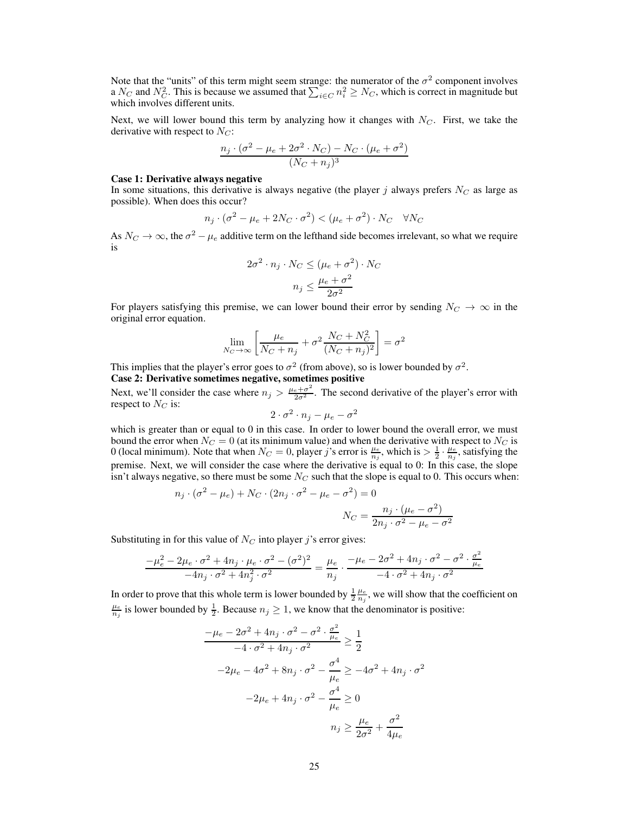Note that the "units" of this term might seem strange: the numerator of the  $\sigma^2$  component involves a  $N_C$  and  $N_C^2$ . This is because we assumed that  $\sum_{i \in C} n_i^2 \ge N_C$ , which is correct in magnitude but which involves different units.

Next, we will lower bound this term by analyzing how it changes with  $N_C$ . First, we take the derivative with respect to  $N_C$ :

$$
\frac{n_j \cdot (\sigma^2 - \mu_e + 2\sigma^2 \cdot N_C) - N_C \cdot (\mu_e + \sigma^2)}{(N_C + n_j)^3}
$$

#### Case 1: Derivative always negative

In some situations, this derivative is always negative (the player  $j$  always prefers  $N_C$  as large as possible). When does this occur?

$$
n_j \cdot (\sigma^2 - \mu_e + 2N_C \cdot \sigma^2) < (\mu_e + \sigma^2) \cdot N_C \quad \forall N_C
$$

As  $N_C \to \infty$ , the  $\sigma^2 - \mu_e$  additive term on the lefthand side becomes irrelevant, so what we require is

$$
2\sigma^2 \cdot n_j \cdot N_C \le (\mu_e + \sigma^2) \cdot N_C
$$

$$
n_j \le \frac{\mu_e + \sigma^2}{2\sigma^2}
$$

For players satisfying this premise, we can lower bound their error by sending  $N_C \rightarrow \infty$  in the original error equation.

$$
\lim_{N_C \to \infty} \left[ \frac{\mu_e}{N_C + n_j} + \sigma^2 \frac{N_C + N_C^2}{(N_C + n_j)^2} \right] = \sigma^2
$$

This implies that the player's error goes to  $\sigma^2$  (from above), so is lower bounded by  $\sigma^2$ .

# Case 2: Derivative sometimes negative, sometimes positive

Next, we'll consider the case where  $n_j > \frac{\mu_e + \sigma^2}{2\sigma^2}$ . The second derivative of the player's error with respect to  $N_C$  is:

$$
2 \cdot \sigma^2 \cdot n_j - \mu_e - \sigma^2
$$

which is greater than or equal to 0 in this case. In order to lower bound the overall error, we must bound the error when  $N_C = 0$  (at its minimum value) and when the derivative with respect to  $N_C$  is 0 (local minimum). Note that when  $N_C = 0$ , player j's error is  $\frac{\mu_e}{n_j}$ , which is  $> \frac{1}{2} \cdot \frac{\mu_e}{n_j}$ , satisfying the premise. Next, we will consider the case where the derivative is equal to 0: In this case, the slope isn't always negative, so there must be some  $N_C$  such that the slope is equal to 0. This occurs when:

$$
n_j \cdot (\sigma^2 - \mu_e) + N_C \cdot (2n_j \cdot \sigma^2 - \mu_e - \sigma^2) = 0
$$

$$
N_C = \frac{n_j \cdot (\mu_e - \sigma^2)}{2n_j \cdot \sigma^2 - \mu_e - \sigma^2}
$$

Substituting in for this value of  $N_C$  into player j's error gives:

$$
\frac{-\mu_e^2-2\mu_e\cdot\sigma^2+4n_j\cdot\mu_e\cdot\sigma^2-(\sigma^2)^2}{-4n_j\cdot\sigma^2+4n_j^2\cdot\sigma^2}=\frac{\mu_e}{n_j}\cdot\frac{-\mu_e-2\sigma^2+4n_j\cdot\sigma^2-\sigma^2\cdot\frac{\sigma^2}{\mu_e}}{-4\cdot\sigma^2+4n_j\cdot\sigma^2}
$$

In order to prove that this whole term is lower bounded by  $\frac{1}{2} \frac{\mu_e}{n_j}$ , we will show that the coefficient on  $\frac{\mu_e}{n_j}$  is lower bounded by  $\frac{1}{2}$ . Because  $n_j \geq 1$ , we know that the denominator is positive:

$$
\frac{-\mu_e - 2\sigma^2 + 4n_j \cdot \sigma^2 - \sigma^2 \cdot \frac{\sigma^2}{\mu_e}}{-4 \cdot \sigma^2 + 4n_j \cdot \sigma^2} \ge \frac{1}{2}
$$
  

$$
-2\mu_e - 4\sigma^2 + 8n_j \cdot \sigma^2 - \frac{\sigma^4}{\mu_e} \ge -4\sigma^2 + 4n_j \cdot \sigma^2
$$
  

$$
-2\mu_e + 4n_j \cdot \sigma^2 - \frac{\sigma^4}{\mu_e} \ge 0
$$
  

$$
n_j \ge \frac{\mu_e}{2\sigma^2} + \frac{\sigma^2}{4\mu_e}
$$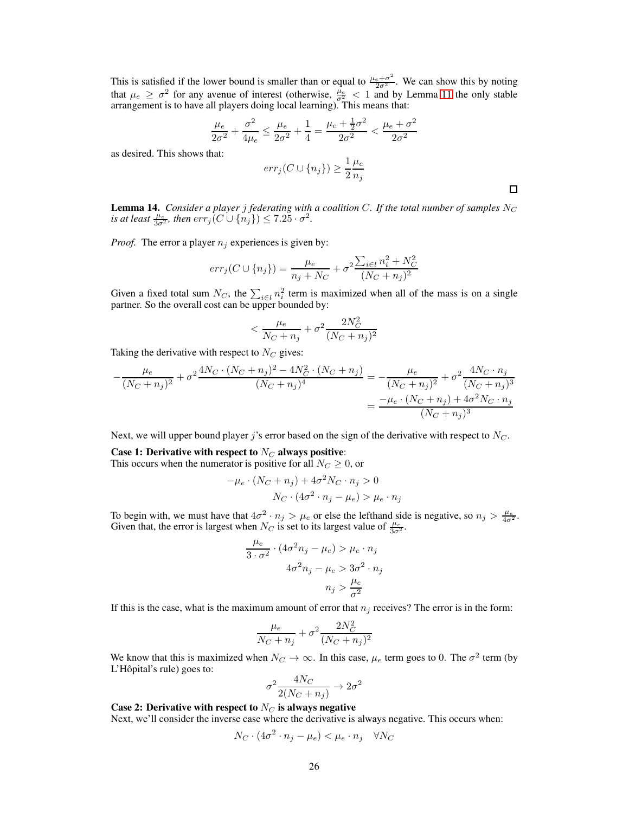This is satisfied if the lower bound is smaller than or equal to  $\frac{\mu_e + \sigma^2}{2\sigma^2}$ . We can show this by noting that  $\mu_e \ge \sigma^2$  for any avenue of interest (otherwise,  $\frac{\mu_e}{\sigma^2} < 1$  and by Lemma [11](#page-7-1) the only stable arrangement is to have all players doing local learning). This means that:

$$
\frac{\mu_e}{2\sigma^2} + \frac{\sigma^2}{4\mu_e} \le \frac{\mu_e}{2\sigma^2} + \frac{1}{4} = \frac{\mu_e + \frac{1}{2}\sigma^2}{2\sigma^2} < \frac{\mu_e + \sigma^2}{2\sigma^2}
$$

as desired. This shows that:

$$
err_j(C \cup \{n_j\}) \ge \frac{1}{2} \frac{\mu_e}{n_j}
$$

**Lemma 14.** *Consider a player j federating with a coalition C. If the total number of samples*  $N_C$ *is at least*  $\frac{\mu_e}{3\sigma^2}$ *, then*  $err_j(C \cup \{n_j\}) \le 7.25 \cdot \sigma^2$ *.* 

 $\Box$ 

*Proof.* The error a player  $n_i$  experiences is given by:

$$
err_j(C \cup \{n_j\}) = \frac{\mu_e}{n_j + N_C} + \sigma^2 \frac{\sum_{i \in l} n_i^2 + N_C^2}{(N_C + n_j)^2}
$$

Given a fixed total sum  $N_C$ , the  $\sum_{i \in l} n_i^2$  term is maximized when all of the mass is on a single partner. So the overall cost can be upper bounded by:

$$
<\frac{\mu_e}{N_C+n_j}+\sigma^2\frac{2N_C^2}{(N_C+n_j)^2}
$$

Taking the derivative with respect to  $N_C$  gives:

$$
-\frac{\mu_e}{(N_C + n_j)^2} + \sigma^2 \frac{4N_C \cdot (N_C + n_j)^2 - 4N_C^2 \cdot (N_C + n_j)}{(N_C + n_j)^4} = -\frac{\mu_e}{(N_C + n_j)^2} + \sigma^2 \frac{4N_C \cdot n_j}{(N_C + n_j)^3}
$$

$$
= \frac{-\mu_e \cdot (N_C + n_j) + 4\sigma^2 N_C \cdot n_j}{(N_C + n_j)^3}
$$

Next, we will upper bound player j's error based on the sign of the derivative with respect to  $N_C$ .

#### Case 1: Derivative with respect to  $N_C$  always positive:

This occurs when the numerator is positive for all  $N_C \geq 0$ , or

$$
-\mu_e \cdot (N_C + n_j) + 4\sigma^2 N_C \cdot n_j > 0
$$
  

$$
N_C \cdot (4\sigma^2 \cdot n_j - \mu_e) > \mu_e \cdot n_j
$$

To begin with, we must have that  $4\sigma^2 \cdot n_j > \mu_e$  or else the lefthand side is negative, so  $n_j > \frac{\mu_e}{4\sigma^2}$ . Given that, the error is largest when  $N_C$  is set to its largest value of  $\frac{\mu_e}{3\sigma^2}$ .

$$
\frac{\mu_e}{3 \cdot \sigma^2} \cdot (4\sigma^2 n_j - \mu_e) > \mu_e \cdot n_j
$$

$$
4\sigma^2 n_j - \mu_e > 3\sigma^2 \cdot n_j
$$

$$
n_j > \frac{\mu_e}{\sigma^2}
$$

If this is the case, what is the maximum amount of error that  $n_j$  receives? The error is in the form:

$$
\frac{\mu_e}{N_C+n_j}+\sigma^2\frac{2N_C^2}{(N_C+n_j)^2}
$$

We know that this is maximized when  $N_C \to \infty$ . In this case,  $\mu_e$  term goes to 0. The  $\sigma^2$  term (by L'Hôpital's rule) goes to:

$$
\sigma^2 \frac{4N_C}{2(N_C + n_j)} \to 2\sigma^2
$$

Case 2: Derivative with respect to  $N_C$  is always negative

Next, we'll consider the inverse case where the derivative is always negative. This occurs when:

$$
N_C \cdot (4\sigma^2 \cdot n_j - \mu_e) < \mu_e \cdot n_j \quad \forall N_C
$$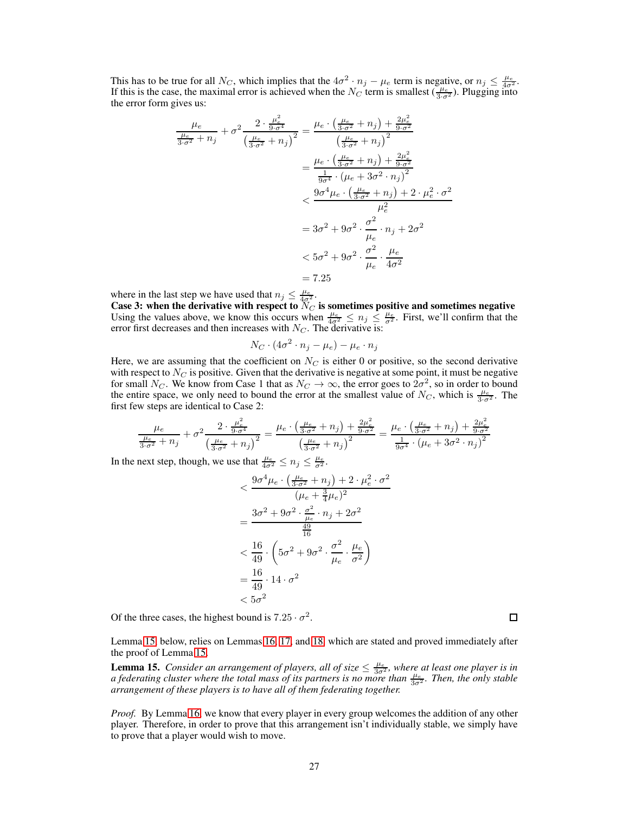This has to be true for all  $N_C$ , which implies that the  $4\sigma^2 \cdot n_j - \mu_e$  term is negative, or  $n_j \leq \frac{\mu_e}{4\sigma^2}$ . If this is the case, the maximal error is achieved when the  $N_C$  term is smallest  $(\frac{\mu_e}{3\sigma^2})$ . Plugging into the error form gives us:

$$
\frac{\mu_e}{\frac{\mu_e}{3 \cdot \sigma^2} + n_j} + \sigma^2 \frac{2 \cdot \frac{\mu_e^2}{9 \cdot \sigma^4}}{\left(\frac{\mu_e}{3 \cdot \sigma^2} + n_j\right)^2} = \frac{\mu_e \cdot \left(\frac{\mu_e}{3 \cdot \sigma^2} + n_j\right) + \frac{2\mu_e^2}{9 \cdot \sigma^2}}{\left(\frac{\mu_e}{3 \cdot \sigma^2} + n_j\right)^2} \n= \frac{\mu_e \cdot \left(\frac{\mu_e}{3 \cdot \sigma^2} + n_j\right) + \frac{2\mu_e^2}{9 \cdot \sigma^2}}{\frac{1}{9 \cdot \sigma^4} \cdot (\mu_e + 3\sigma^2 \cdot n_j)^2} \n< \frac{9\sigma^4 \mu_e \cdot \left(\frac{\mu_e}{3 \cdot \sigma^2} + n_j\right) + 2 \cdot \mu_e^2 \cdot \sigma^2}{\mu_e^2} \n= 3\sigma^2 + 9\sigma^2 \cdot \frac{\sigma^2}{\mu_e} \cdot n_j + 2\sigma^2 \n< 5\sigma^2 + 9\sigma^2 \cdot \frac{\sigma^2}{\mu_e} \cdot \frac{\mu_e}{4\sigma^2} \n= 7.25
$$

where in the last step we have used that  $n_j \leq \frac{\mu_e}{4\sigma^2}$ .

Case 3: when the derivative with respect to  $N_C$  is sometimes positive and sometimes negative Using the values above, we know this occurs when  $\frac{\mu_e}{4\sigma^2} \leq n_j \leq \frac{\mu_e}{\sigma^2}$ . First, we'll confirm that the error first decreases and then increases with  $N_C$ . The derivative is:

$$
N_C \cdot (4\sigma^2 \cdot n_j - \mu_e) - \mu_e \cdot n_j
$$

Here, we are assuming that the coefficient on  $N<sub>C</sub>$  is either 0 or positive, so the second derivative with respect to  $N_C$  is positive. Given that the derivative is negative at some point, it must be negative for small N<sub>C</sub>. We know from Case 1 that as  $N_C \to \infty$ , the error goes to  $2\sigma^2$ , so in order to bound the entire space, we only need to bound the error at the smallest value of  $N_C$ , which is  $\frac{\mu_e}{3 \cdot \sigma^2}$ . The first few steps are identical to Case 2:

$$
\frac{\mu_e}{\frac{\mu_e}{3 \cdot \sigma^2} + n_j} + \sigma^2 \frac{2 \cdot \frac{\mu_e^2}{9 \cdot \sigma^4}}{\left(\frac{\mu_e}{3 \cdot \sigma^2} + n_j\right)^2} = \frac{\mu_e \cdot \left(\frac{\mu_e}{3 \cdot \sigma^2} + n_j\right) + \frac{2\mu_e^2}{9 \cdot \sigma^2}}{\left(\frac{\mu_e}{3 \cdot \sigma^2} + n_j\right)^2} = \frac{\mu_e \cdot \left(\frac{\mu_e}{3 \cdot \sigma^2} + n_j\right) + \frac{2\mu_e^2}{9 \cdot \sigma^2}}{\frac{1}{9 \sigma^4} \cdot \left(\mu_e + 3\sigma^2 \cdot n_j\right)^2}
$$

In the next step, though, we use that  $\frac{\mu_e}{4\sigma^2} \le n_j \le \frac{\mu_e}{\sigma^2}$ .

$$
< \frac{9\sigma^4\mu_e \cdot \left(\frac{\mu_e}{3\cdot \sigma^2} + n_j\right) + 2 \cdot \mu_e^2 \cdot \sigma^2}{(\mu_e + \frac{3}{4}\mu_e)^2} \n= \frac{3\sigma^2 + 9\sigma^2 \cdot \frac{\sigma^2}{\mu_e} \cdot n_j + 2\sigma^2}{\frac{49}{16}} \n< \frac{16}{49} \cdot \left(5\sigma^2 + 9\sigma^2 \cdot \frac{\sigma^2}{\mu_e} \cdot \frac{\mu_e}{\sigma^2}\right) \n= \frac{16}{49} \cdot 14 \cdot \sigma^2 \n< 5\sigma^2
$$

Of the three cases, the highest bound is  $7.25 \cdot \sigma^2$ .

Lemma [15,](#page-8-2) below, relies on Lemmas [16,](#page-27-0) [17,](#page-28-0) and [18,](#page-30-0) which are stated and proved immediately after the proof of Lemma [15.](#page-8-2)

**Lemma 15.** *Consider an arrangement of players, all of size*  $\leq \frac{\mu_e}{3\sigma^2}$ , where at least one player is in *a federating cluster where the total mass of its partners is no more than*  $\frac{\mu_e}{3\sigma^2}$ *. Then, the only stable arrangement of these players is to have all of them federating together.*

*Proof.* By Lemma [16,](#page-27-0) we know that every player in every group welcomes the addition of any other player. Therefore, in order to prove that this arrangement isn't individually stable, we simply have to prove that a player would wish to move.

□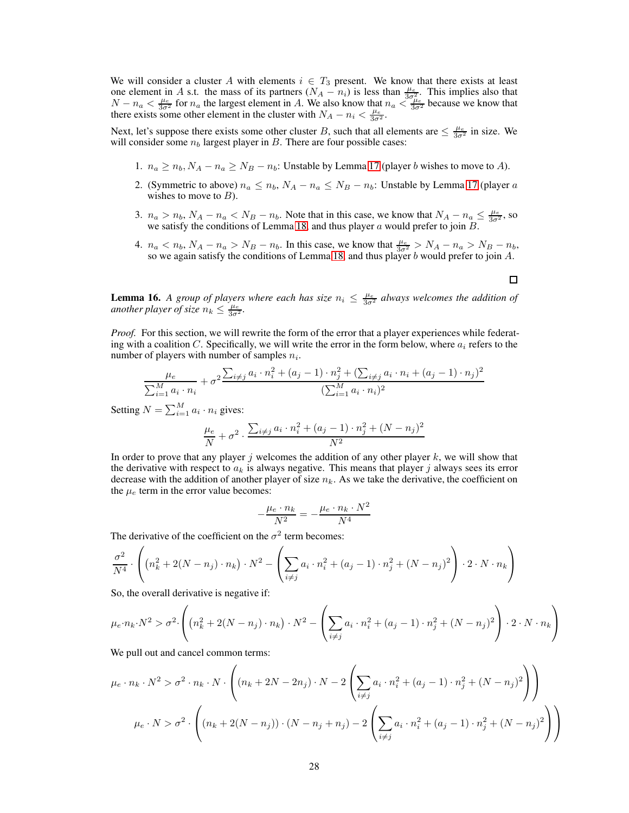We will consider a cluster A with elements  $i \in T_3$  present. We know that there exists at least one element in A s.t. the mass of its partners  $(N_A - n_i)$  is less than  $\frac{\mu_e}{3\sigma_u^2}$ . This implies also that  $N-n_a < \frac{\mu_e}{3\sigma^2}$  for  $n_a$  the largest element in A. We also know that  $n_a < \frac{\delta \sigma_{\mu_e}}{3\sigma^2}$  because we know that there exists some other element in the cluster with  $N_A - n_i < \frac{\mu_e}{3\sigma^2}$ .

Next, let's suppose there exists some other cluster B, such that all elements are  $\leq \frac{\mu_e}{3\sigma^2}$  in size. We will consider some  $n_b$  largest player in B. There are four possible cases:

- 1.  $n_a \ge n_b$ ,  $N_A n_a \ge N_B n_b$ : Unstable by Lemma [17](#page-28-0) (player b wishes to move to A).
- 2. (Symmetric to above)  $n_a \leq n_b$ ,  $N_A n_a \leq N_B n_b$ : Unstable by Lemma [17](#page-28-0) (player a wishes to move to  $B$ ).
- 3.  $n_a > n_b$ ,  $N_A n_a < N_B n_b$ . Note that in this case, we know that  $N_A n_a \leq \frac{\mu_e}{3\sigma^2}$ , so we satisfy the conditions of Lemma [18,](#page-30-0) and thus player  $a$  would prefer to join  $B$ .
- 4.  $n_a < n_b$ ,  $N_A n_a > N_B n_b$ . In this case, we know that  $\frac{\mu_e}{3\sigma^2} > N_A n_a > N_B n_b$ , so we again satisfy the conditions of Lemma [18,](#page-30-0) and thus player b would prefer to join  $A$ .

<span id="page-27-0"></span>**Lemma 16.** A group of players where each has size  $n_i \leq \frac{\mu_e}{3\sigma^2}$  always welcomes the addition of *another player of size*  $n_k \leq \frac{\mu_e}{3\sigma^2}$ .

*Proof.* For this section, we will rewrite the form of the error that a player experiences while federating with a coalition C. Specifically, we will write the error in the form below, where  $a_i$  refers to the number of players with number of samples  $n_i$ .

$$
\frac{\mu_e}{\sum_{i=1}^M a_i \cdot n_i} + \sigma^2 \frac{\sum_{i \neq j} a_i \cdot n_i^2 + (a_j - 1) \cdot n_j^2 + (\sum_{i \neq j} a_i \cdot n_i + (a_j - 1) \cdot n_j)^2}{(\sum_{i=1}^M a_i \cdot n_i)^2}
$$

Setting  $N = \sum_{i=1}^{M} a_i \cdot n_i$  gives:

$$
\frac{\mu_e}{N} + \sigma^2 \cdot \frac{\sum_{i \neq j} a_i \cdot n_i^2 + (a_j - 1) \cdot n_j^2 + (N - n_j)^2}{N^2}
$$

In order to prove that any player j welcomes the addition of any other player  $k$ , we will show that the derivative with respect to  $a_k$  is always negative. This means that player j always sees its error decrease with the addition of another player of size  $n_k$ . As we take the derivative, the coefficient on the  $\mu_e$  term in the error value becomes:

$$
-\frac{\mu_e \cdot n_k}{N^2} = -\frac{\mu_e \cdot n_k \cdot N^2}{N^4}
$$

The derivative of the coefficient on the  $\sigma^2$  term becomes:

$$
\frac{\sigma^2}{N^4} \cdot \left( \left( n_k^2 + 2(N - n_j) \cdot n_k \right) \cdot N^2 - \left( \sum_{i \neq j} a_i \cdot n_i^2 + (a_j - 1) \cdot n_j^2 + (N - n_j)^2 \right) \cdot 2 \cdot N \cdot n_k \right)
$$

So, the overall derivative is negative if:

$$
\mu_e \cdot n_k \cdot N^2 > \sigma^2 \cdot \left( \left( n_k^2 + 2(N - n_j) \cdot n_k \right) \cdot N^2 - \left( \sum_{i \neq j} a_i \cdot n_i^2 + (a_j - 1) \cdot n_j^2 + (N - n_j)^2 \right) \cdot 2 \cdot N \cdot n_k \right)
$$

We pull out and cancel common terms:

$$
\mu_e \cdot n_k \cdot N^2 > \sigma^2 \cdot n_k \cdot N \cdot \left( (n_k + 2N - 2n_j) \cdot N - 2 \left( \sum_{i \neq j} a_i \cdot n_i^2 + (a_j - 1) \cdot n_j^2 + (N - n_j)^2 \right) \right)
$$
\n
$$
\mu_e \cdot N > \sigma^2 \cdot \left( (n_k + 2(N - n_j)) \cdot (N - n_j + n_j) - 2 \left( \sum_{i \neq j} a_i \cdot n_i^2 + (a_j - 1) \cdot n_j^2 + (N - n_j)^2 \right) \right)
$$

 $\Box$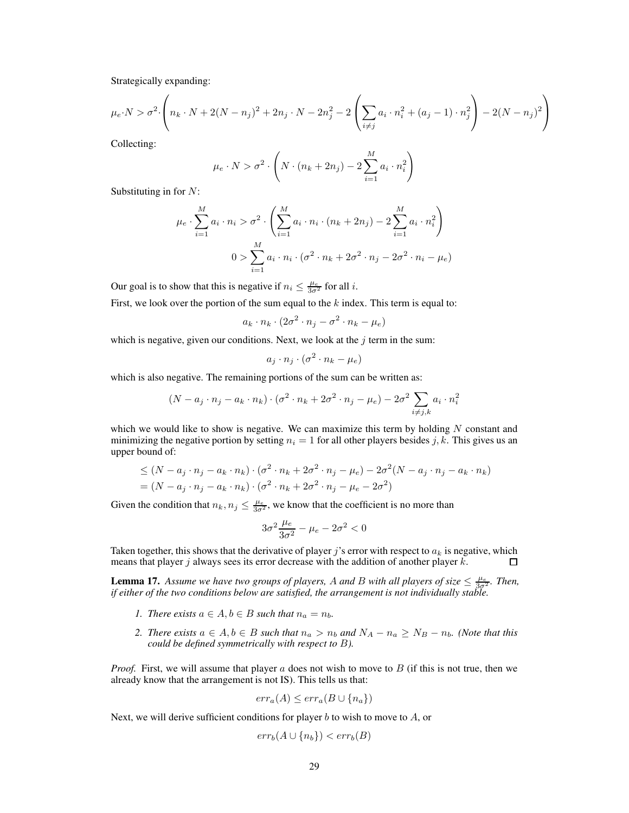Strategically expanding:

$$
\mu_e \cdot N > \sigma^2 \cdot \left( n_k \cdot N + 2(N - n_j)^2 + 2n_j \cdot N - 2n_j^2 - 2\left(\sum_{i \neq j} a_i \cdot n_i^2 + (a_j - 1) \cdot n_j^2\right) - 2(N - n_j)^2\right)
$$

Collecting:

$$
\mu_e \cdot N > \sigma^2 \cdot \left( N \cdot (n_k + 2n_j) - 2 \sum_{i=1}^M a_i \cdot n_i^2 \right)
$$

Substituting in for  $N$ :

$$
\mu_e \cdot \sum_{i=1}^{M} a_i \cdot n_i > \sigma^2 \cdot \left( \sum_{i=1}^{M} a_i \cdot n_i \cdot (n_k + 2n_j) - 2 \sum_{i=1}^{M} a_i \cdot n_i^2 \right)
$$
  

$$
0 > \sum_{i=1}^{M} a_i \cdot n_i \cdot (\sigma^2 \cdot n_k + 2\sigma^2 \cdot n_j - 2\sigma^2 \cdot n_i - \mu_e)
$$

Our goal is to show that this is negative if  $n_i \leq \frac{\mu_e}{3\sigma^2}$  for all *i*.

First, we look over the portion of the sum equal to the  $k$  index. This term is equal to:

$$
a_k \cdot n_k \cdot (2\sigma^2 \cdot n_j - \sigma^2 \cdot n_k - \mu_e)
$$

which is negative, given our conditions. Next, we look at the  $j$  term in the sum:

$$
a_j \cdot n_j \cdot (\sigma^2 \cdot n_k - \mu_e)
$$

which is also negative. The remaining portions of the sum can be written as:

$$
(N - a_j \cdot n_j - a_k \cdot n_k) \cdot (\sigma^2 \cdot n_k + 2\sigma^2 \cdot n_j - \mu_e) - 2\sigma^2 \sum_{i \neq j,k} a_i \cdot n_i^2
$$

which we would like to show is negative. We can maximize this term by holding  $N$  constant and minimizing the negative portion by setting  $n<sub>i</sub> = 1$  for all other players besides j, k. This gives us an upper bound of:

$$
\leq (N - a_j \cdot n_j - a_k \cdot n_k) \cdot (\sigma^2 \cdot n_k + 2\sigma^2 \cdot n_j - \mu_e) - 2\sigma^2 (N - a_j \cdot n_j - a_k \cdot n_k)
$$
  
= 
$$
(N - a_j \cdot n_j - a_k \cdot n_k) \cdot (\sigma^2 \cdot n_k + 2\sigma^2 \cdot n_j - \mu_e - 2\sigma^2)
$$

Given the condition that  $n_k, n_j \leq \frac{\mu_e}{3\sigma^2}$ , we know that the coefficient is no more than

$$
3\sigma^2 \frac{\mu_e}{3\sigma^2} - \mu_e - 2\sigma^2 < 0
$$

Taken together, this shows that the derivative of player j's error with respect to  $a_k$  is negative, which means that player  $j$  always sees its error decrease with the addition of another player  $k$ . П

<span id="page-28-0"></span>**Lemma 17.** Assume we have two groups of players, A and B with all players of size  $\leq \frac{\mu_e}{3\sigma^2}$ . Then, *if either of the two conditions below are satisfied, the arrangement is not individually stable.*

- *1. There exists*  $a \in A$ ,  $b \in B$  *such that*  $n_a = n_b$ .
- *2. There exists*  $a \in A$ ,  $b \in B$  *such that*  $n_a > n_b$  *and*  $N_A n_a \ge N_B n_b$ *. (Note that this could be defined symmetrically with respect to* B*).*

*Proof.* First, we will assume that player a does not wish to move to B (if this is not true, then we already know that the arrangement is not IS). This tells us that:

$$
err_a(A) \le err_a(B \cup \{n_a\})
$$

Next, we will derive sufficient conditions for player  $b$  to wish to move to  $A$ , or

$$
err_b(A \cup \{n_b\}) < err_b(B)
$$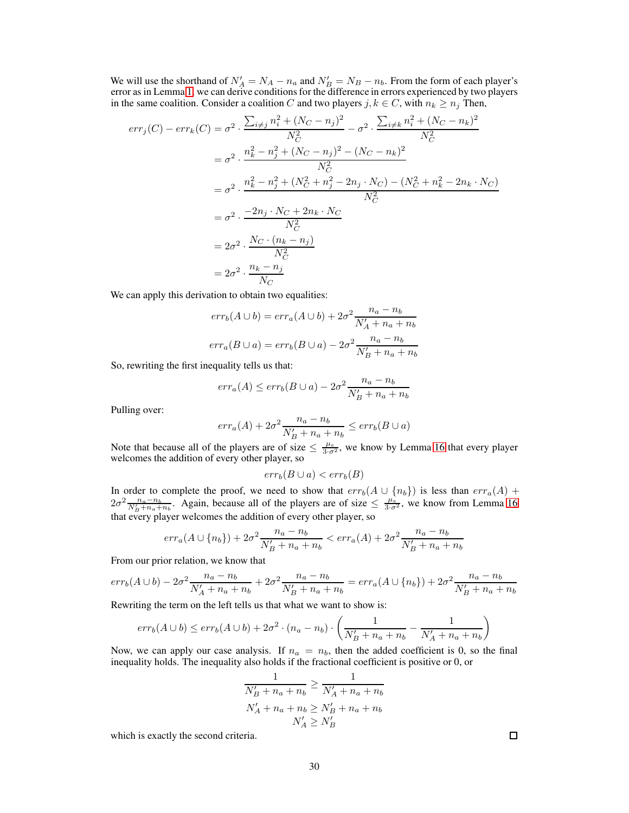We will use the shorthand of  $N'_A = N_A - n_a$  and  $N'_B = N_B - n_b$ . From the form of each player's error as in Lemma [1,](#page-3-0) we can derive conditions for the difference in errors experienced by two players in the same coalition. Consider a coalition C and two players  $j, k \in C$ , with  $n_k \geq n_j$  Then,

$$
err_j(C) - err_k(C) = \sigma^2 \cdot \frac{\sum_{i \neq j} n_i^2 + (N_C - n_j)^2}{N_C^2} - \sigma^2 \cdot \frac{\sum_{i \neq k} n_i^2 + (N_C - n_k)^2}{N_C^2}
$$
  
\n
$$
= \sigma^2 \cdot \frac{n_k^2 - n_j^2 + (N_C - n_j)^2 - (N_C - n_k)^2}{N_C^2}
$$
  
\n
$$
= \sigma^2 \cdot \frac{n_k^2 - n_j^2 + (N_C^2 + n_j^2 - 2n_j \cdot N_C) - (N_C^2 + n_k^2 - 2n_k \cdot N_C)}{N_C^2}
$$
  
\n
$$
= \sigma^2 \cdot \frac{-2n_j \cdot N_C + 2n_k \cdot N_C}{N_C^2}
$$
  
\n
$$
= 2\sigma^2 \cdot \frac{N_C \cdot (n_k - n_j)}{N_C^2}
$$
  
\n
$$
= 2\sigma^2 \cdot \frac{n_k - n_j}{N_C}
$$

We can apply this derivation to obtain two equalities:

$$
err_b(A \cup b) = err_a(A \cup b) + 2\sigma^2 \frac{n_a - n_b}{N'_A + n_a + n_b}
$$

$$
err_a(B \cup a) = err_b(B \cup a) - 2\sigma^2 \frac{n_a - n_b}{N'_B + n_a + n_b}
$$

So, rewriting the first inequality tells us that:

$$
err_a(A) \le err_b(B \cup a) - 2\sigma^2 \frac{n_a - n_b}{N'_B + n_a + n_b}
$$

Pulling over:

$$
err_a(A) + 2\sigma^2 \frac{n_a - n_b}{N'_B + n_a + n_b} \leq err_b(B \cup a)
$$

Note that because all of the players are of size  $\leq \frac{\mu_e}{3 \cdot \sigma^2}$ , we know by Lemma [16](#page-27-0) that every player welcomes the addition of every other player, so

$$
err_b(B \cup a) < err_b(B)
$$

In order to complete the proof, we need to show that  $err_b(A \cup \{n_b\})$  is less than  $err_a(A)$  +  $2\sigma^2 \frac{n_a-n_b}{N'_B+n_a+n_b}$ . Again, because all of the players are of size  $\leq \frac{\mu_e}{3\sigma^2}$ , we know from Lemma [16](#page-27-0) that every player welcomes the addition of every other player, so

$$
err_a(A \cup \{n_b\}) + 2\sigma^2 \frac{n_a - n_b}{N'_B + n_a + n_b} < err_a(A) + 2\sigma^2 \frac{n_a - n_b}{N'_B + n_a + n_b}
$$

From our prior relation, we know that

$$
err_b(A \cup b) - 2\sigma^2 \frac{n_a - n_b}{N'_A + n_a + n_b} + 2\sigma^2 \frac{n_a - n_b}{N'_B + n_a + n_b} = err_a(A \cup \{n_b\}) + 2\sigma^2 \frac{n_a - n_b}{N'_B + n_a + n_b}
$$

Rewriting the term on the left tells us that what we want to show is:

$$
err_b(A \cup b) \leq err_b(A \cup b) + 2\sigma^2 \cdot (n_a - n_b) \cdot \left(\frac{1}{N'_B + n_a + n_b} - \frac{1}{N'_A + n_a + n_b}\right)
$$

Now, we can apply our case analysis. If  $n_a = n_b$ , then the added coefficient is 0, so the final inequality holds. The inequality also holds if the fractional coefficient is positive or 0, or

$$
\frac{1}{N'_B + n_a + n_b} \ge \frac{1}{N'_A + n_a + n_b}
$$
  

$$
N'_A + n_a + n_b \ge N'_B + n_a + n_b
$$
  

$$
N'_A \ge N'_B
$$

which is exactly the second criteria.

 $\Box$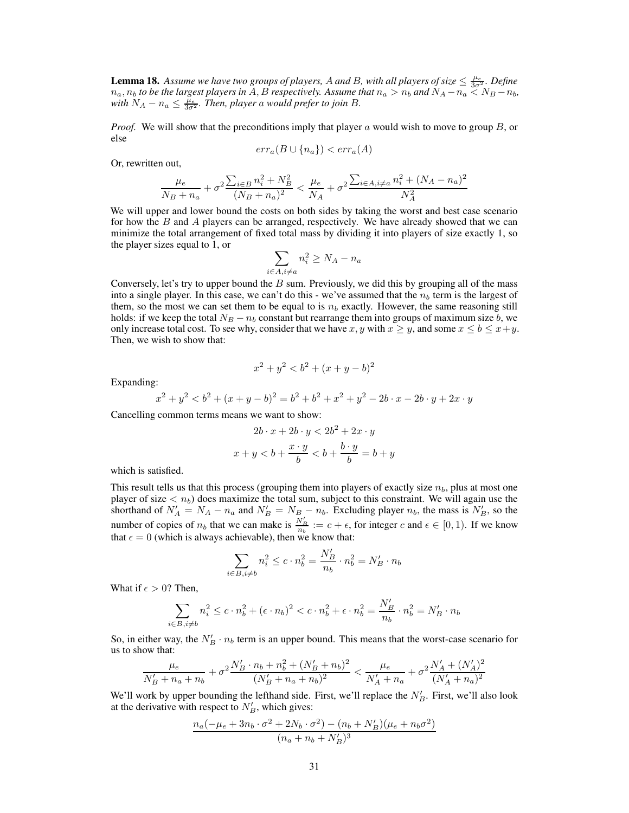<span id="page-30-0"></span>**Lemma 18.** Assume we have two groups of players, A and B, with all players of size  $\leq \frac{\mu_e}{3\sigma^2}$ . Define  $n_a, n_b$  to be the largest players in  $A, B$  respectively. Assume that  $n_a > n_b$  and  $N_A - n_a \leq N_B - n_b$ , with  $N_A - n_a \le \frac{\mu_e}{3\sigma^2}$ . Then, player a would prefer to join B.

*Proof.* We will show that the preconditions imply that player a would wish to move to group B, or else

$$
err_a(B \cup \{n_a\}) < err_a(A)
$$

Or, rewritten out,

$$
\frac{\mu_e}{N_B + n_a} + \sigma^2 \frac{\sum_{i \in B} n_i^2 + N_B^2}{(N_B + n_a)^2} < \frac{\mu_e}{N_A} + \sigma^2 \frac{\sum_{i \in A, i \neq a} n_i^2 + (N_A - n_a)^2}{N_A^2}
$$

We will upper and lower bound the costs on both sides by taking the worst and best case scenario for how the  $B$  and  $\overline{A}$  players can be arranged, respectively. We have already showed that we can minimize the total arrangement of fixed total mass by dividing it into players of size exactly 1, so the player sizes equal to 1, or

$$
\sum_{i \in A, i \neq a} n_i^2 \ge N_A - n_a
$$

Conversely, let's try to upper bound the  $B$  sum. Previously, we did this by grouping all of the mass into a single player. In this case, we can't do this - we've assumed that the  $n<sub>b</sub>$  term is the largest of them, so the most we can set them to be equal to is  $n<sub>b</sub>$  exactly. However, the same reasoning still holds: if we keep the total  $N_B - n_b$  constant but rearrange them into groups of maximum size b, we only increase total cost. To see why, consider that we have x, y with  $x \ge y$ , and some  $x \le b \le x+y$ . Then, we wish to show that:

$$
x^2 + y^2 < b^2 + (x + y - b)^2
$$

Expanding:

$$
x^{2} + y^{2} < b^{2} + (x + y - b)^{2} = b^{2} + b^{2} + x^{2} + y^{2} - 2b \cdot x - 2b \cdot y + 2x \cdot y
$$

Cancelling common terms means we want to show:

$$
2b \cdot x + 2b \cdot y < 2b^2 + 2x \cdot y
$$
\n
$$
x + y < b + \frac{x \cdot y}{b} < b + \frac{b \cdot y}{b} = b + y
$$

which is satisfied.

This result tells us that this process (grouping them into players of exactly size  $n_b$ , plus at most one player of size  $\langle n_b \rangle$  does maximize the total sum, subject to this constraint. We will again use the shorthand of  $N'_A = N_A - n_a$  and  $N'_B = N_B - n_b$ . Excluding player  $n_b$ , the mass is  $N'_B$ , so the number of copies of  $n_b$  that we can make is  $\frac{N'_B}{n_b} := c + \epsilon$ , for integer c and  $\epsilon \in [0, 1)$ . If we know that  $\epsilon = 0$  (which is always achievable), then we know that:

$$
\sum_{i \in B, i \neq b} n_i^2 \leq c \cdot n_b^2 = \frac{N_B'}{n_b} \cdot n_b^2 = N_B' \cdot n_b
$$

What if  $\epsilon > 0$ ? Then,

$$
\sum_{i \in B, i \neq b} n_i^2 \le c \cdot n_b^2 + (\epsilon \cdot n_b)^2 < c \cdot n_b^2 + \epsilon \cdot n_b^2 = \frac{N_B'}{n_b} \cdot n_b^2 = N_B' \cdot n_b
$$

So, in either way, the  $N'_B \cdot n_b$  term is an upper bound. This means that the worst-case scenario for us to show that:

$$
\frac{\mu_e}{N'_B + n_a + n_b} + \sigma^2 \frac{N'_B \cdot n_b + n_b^2 + (N'_B + n_b)^2}{(N'_B + n_a + n_b)^2} < \frac{\mu_e}{N'_A + n_a} + \sigma^2 \frac{N'_A + (N'_A)^2}{(N'_A + n_a)^2}
$$

We'll work by upper bounding the lefthand side. First, we'll replace the  $N'_B$ . First, we'll also look at the derivative with respect to  $N'_B$ , which gives:

$$
\frac{n_a(-\mu_e + 3n_b \cdot \sigma^2 + 2N_b \cdot \sigma^2) - (n_b + N'_B)(\mu_e + n_b \sigma^2)}{(n_a + n_b + N'_B)^3}
$$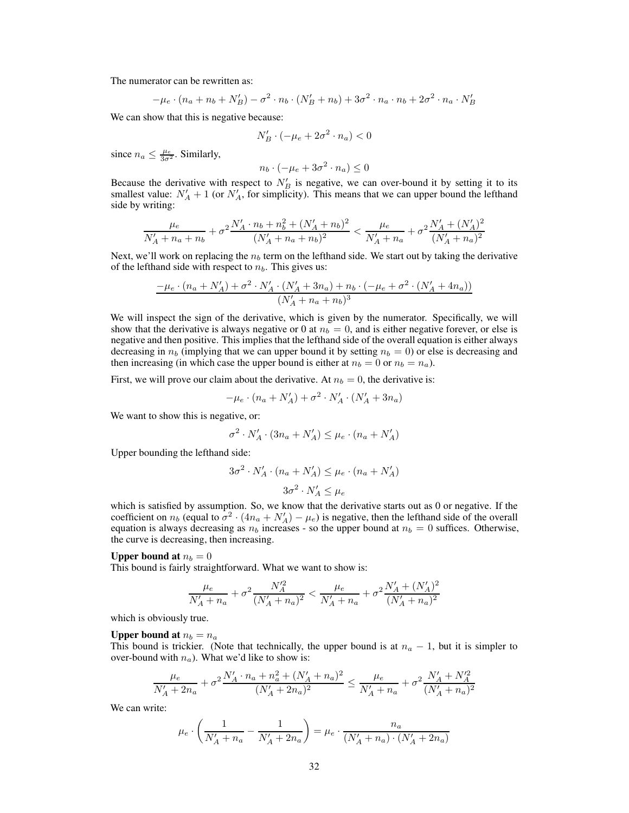The numerator can be rewritten as:

$$
-\mu_e \cdot (n_a + n_b + N'_B) - \sigma^2 \cdot n_b \cdot (N'_B + n_b) + 3\sigma^2 \cdot n_a \cdot n_b + 2\sigma^2 \cdot n_a \cdot N'_B
$$

We can show that this is negative because:

$$
N'_B \cdot (-\mu_e + 2\sigma^2 \cdot n_a) < 0
$$

since  $n_a \leq \frac{\mu_e}{3\sigma^2}$ . Similarly,

$$
n_b \cdot (-\mu_e + 3\sigma^2 \cdot n_a) \le 0
$$

Because the derivative with respect to  $N'_B$  is negative, we can over-bound it by setting it to its smallest value:  $N'_A + 1$  (or  $N'_A$ , for simplicity). This means that we can upper bound the lefthand side by writing:

$$
\frac{\mu_e}{N'_A + n_a + n_b} + \sigma^2 \frac{N'_A \cdot n_b + n_b^2 + (N'_A + n_b)^2}{(N'_A + n_a + n_b)^2} < \frac{\mu_e}{N'_A + n_a} + \sigma^2 \frac{N'_A + (N'_A)^2}{(N'_A + n_a)^2}
$$

Next, we'll work on replacing the  $n<sub>b</sub>$  term on the lefthand side. We start out by taking the derivative of the lefthand side with respect to  $n_b$ . This gives us:

$$
\frac{-\mu_e \cdot (n_a + N'_A) + \sigma^2 \cdot N'_A \cdot (N'_A + 3n_a) + n_b \cdot (-\mu_e + \sigma^2 \cdot (N'_A + 4n_a))}{(N'_A + n_a + n_b)^3}
$$

We will inspect the sign of the derivative, which is given by the numerator. Specifically, we will show that the derivative is always negative or 0 at  $n_b = 0$ , and is either negative forever, or else is negative and then positive. This implies that the lefthand side of the overall equation is either always decreasing in  $n_b$  (implying that we can upper bound it by setting  $n_b = 0$ ) or else is decreasing and then increasing (in which case the upper bound is either at  $n_b = 0$  or  $n_b = n_a$ ).

First, we will prove our claim about the derivative. At  $n_b = 0$ , the derivative is:

$$
-\mu_e \cdot (n_a + N'_A) + \sigma^2 \cdot N'_A \cdot (N'_A + 3n_a)
$$

We want to show this is negative, or:

$$
\sigma^2 \cdot N_A' \cdot (3n_a + N_A') \le \mu_e \cdot (n_a + N_A')
$$

Upper bounding the lefthand side:

$$
3\sigma^2 \cdot N'_A \cdot (n_a + N'_A) \le \mu_e \cdot (n_a + N'_A)
$$

$$
3\sigma^2 \cdot N'_A \le \mu_e
$$

which is satisfied by assumption. So, we know that the derivative starts out as 0 or negative. If the coefficient on  $n_b$  (equal to  $\sigma^2 \cdot (4n_a + N'_A) - \mu_e$ ) is negative, then the lefthand side of the overall equation is always decreasing as  $n_b$  increases - so the upper bound at  $n_b = 0$  suffices. Otherwise, the curve is decreasing, then increasing.

#### Upper bound at  $n_b = 0$

This bound is fairly straightforward. What we want to show is:

$$
\frac{\mu_e}{N'_A + n_a} + \sigma^2 \frac{N'^2_A}{(N'_A + n_a)^2} < \frac{\mu_e}{N'_A + n_a} + \sigma^2 \frac{N'_A + (N'_A)^2}{(N'_A + n_a)^2}
$$

which is obviously true.

#### Upper bound at  $n_b = n_a$

This bound is trickier. (Note that technically, the upper bound is at  $n_a - 1$ , but it is simpler to over-bound with  $n_a$ ). What we'd like to show is:

$$
\frac{\mu_e}{N'_A + 2n_a} + \sigma^2 \frac{N'_A \cdot n_a + n_a^2 + (N'_A + n_a)^2}{(N'_A + 2n_a)^2} \le \frac{\mu_e}{N'_A + n_a} + \sigma^2 \frac{N'_A + N'^2_A}{(N'_A + n_a)^2}
$$

We can write:

$$
\mu_e \cdot \left(\frac{1}{N_A'+n_a}-\frac{1}{N_A'+2n_a}\right)=\mu_e \cdot \frac{n_a}{(N_A'+n_a)\cdot (N_A'+2n_a)}
$$